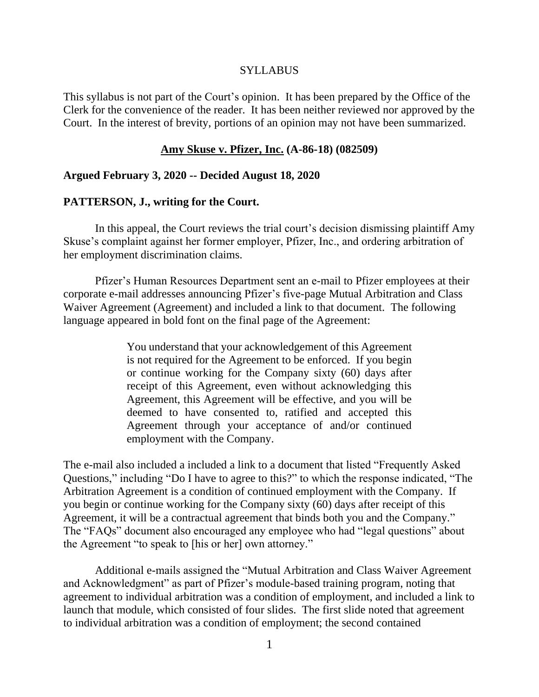#### SYLLABUS

This syllabus is not part of the Court's opinion. It has been prepared by the Office of the Clerk for the convenience of the reader. It has been neither reviewed nor approved by the Court. In the interest of brevity, portions of an opinion may not have been summarized.

#### **Amy Skuse v. Pfizer, Inc. (A-86-18) (082509)**

### **Argued February 3, 2020 -- Decided August 18, 2020**

#### **PATTERSON, J., writing for the Court.**

In this appeal, the Court reviews the trial court's decision dismissing plaintiff Amy Skuse's complaint against her former employer, Pfizer, Inc., and ordering arbitration of her employment discrimination claims.

Pfizer's Human Resources Department sent an e-mail to Pfizer employees at their corporate e-mail addresses announcing Pfizer's five-page Mutual Arbitration and Class Waiver Agreement (Agreement) and included a link to that document. The following language appeared in bold font on the final page of the Agreement:

> You understand that your acknowledgement of this Agreement is not required for the Agreement to be enforced. If you begin or continue working for the Company sixty (60) days after receipt of this Agreement, even without acknowledging this Agreement, this Agreement will be effective, and you will be deemed to have consented to, ratified and accepted this Agreement through your acceptance of and/or continued employment with the Company.

The e-mail also included a included a link to a document that listed "Frequently Asked Questions," including "Do I have to agree to this?" to which the response indicated, "The Arbitration Agreement is a condition of continued employment with the Company. If you begin or continue working for the Company sixty (60) days after receipt of this Agreement, it will be a contractual agreement that binds both you and the Company." The "FAQs" document also encouraged any employee who had "legal questions" about the Agreement "to speak to [his or her] own attorney."

Additional e-mails assigned the "Mutual Arbitration and Class Waiver Agreement and Acknowledgment" as part of Pfizer's module-based training program, noting that agreement to individual arbitration was a condition of employment, and included a link to launch that module, which consisted of four slides. The first slide noted that agreement to individual arbitration was a condition of employment; the second contained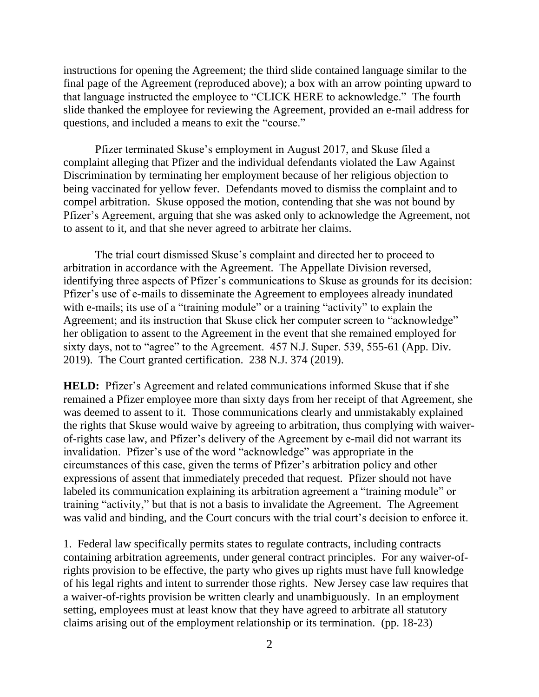instructions for opening the Agreement; the third slide contained language similar to the final page of the Agreement (reproduced above); a box with an arrow pointing upward to that language instructed the employee to "CLICK HERE to acknowledge." The fourth slide thanked the employee for reviewing the Agreement, provided an e-mail address for questions, and included a means to exit the "course."

Pfizer terminated Skuse's employment in August 2017, and Skuse filed a complaint alleging that Pfizer and the individual defendants violated the Law Against Discrimination by terminating her employment because of her religious objection to being vaccinated for yellow fever. Defendants moved to dismiss the complaint and to compel arbitration. Skuse opposed the motion, contending that she was not bound by Pfizer's Agreement, arguing that she was asked only to acknowledge the Agreement, not to assent to it, and that she never agreed to arbitrate her claims.

The trial court dismissed Skuse's complaint and directed her to proceed to arbitration in accordance with the Agreement. The Appellate Division reversed, identifying three aspects of Pfizer's communications to Skuse as grounds for its decision: Pfizer's use of e-mails to disseminate the Agreement to employees already inundated with e-mails; its use of a "training module" or a training "activity" to explain the Agreement; and its instruction that Skuse click her computer screen to "acknowledge" her obligation to assent to the Agreement in the event that she remained employed for sixty days, not to "agree" to the Agreement. 457 N.J. Super. 539, 555-61 (App. Div. 2019). The Court granted certification. 238 N.J. 374 (2019).

**HELD:** Pfizer's Agreement and related communications informed Skuse that if she remained a Pfizer employee more than sixty days from her receipt of that Agreement, she was deemed to assent to it. Those communications clearly and unmistakably explained the rights that Skuse would waive by agreeing to arbitration, thus complying with waiverof-rights case law, and Pfizer's delivery of the Agreement by e-mail did not warrant its invalidation. Pfizer's use of the word "acknowledge" was appropriate in the circumstances of this case, given the terms of Pfizer's arbitration policy and other expressions of assent that immediately preceded that request. Pfizer should not have labeled its communication explaining its arbitration agreement a "training module" or training "activity," but that is not a basis to invalidate the Agreement. The Agreement was valid and binding, and the Court concurs with the trial court's decision to enforce it.

1. Federal law specifically permits states to regulate contracts, including contracts containing arbitration agreements, under general contract principles. For any waiver-ofrights provision to be effective, the party who gives up rights must have full knowledge of his legal rights and intent to surrender those rights. New Jersey case law requires that a waiver-of-rights provision be written clearly and unambiguously. In an employment setting, employees must at least know that they have agreed to arbitrate all statutory claims arising out of the employment relationship or its termination. (pp. 18-23)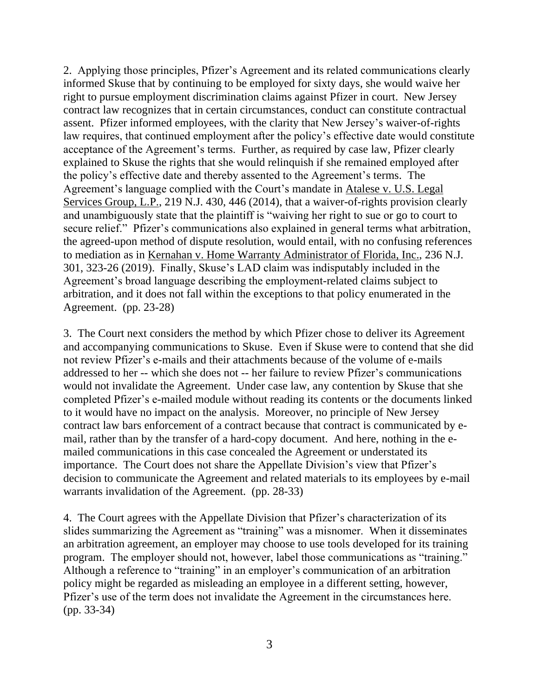2. Applying those principles, Pfizer's Agreement and its related communications clearly informed Skuse that by continuing to be employed for sixty days, she would waive her right to pursue employment discrimination claims against Pfizer in court. New Jersey contract law recognizes that in certain circumstances, conduct can constitute contractual assent. Pfizer informed employees, with the clarity that New Jersey's waiver-of-rights law requires, that continued employment after the policy's effective date would constitute acceptance of the Agreement's terms. Further, as required by case law, Pfizer clearly explained to Skuse the rights that she would relinquish if she remained employed after the policy's effective date and thereby assented to the Agreement's terms. The Agreement's language complied with the Court's mandate in Atalese v. U.S. Legal Services Group, L.P., 219 N.J. 430, 446 (2014), that a waiver-of-rights provision clearly and unambiguously state that the plaintiff is "waiving her right to sue or go to court to secure relief." Pfizer's communications also explained in general terms what arbitration, the agreed-upon method of dispute resolution, would entail, with no confusing references to mediation as in Kernahan v. Home Warranty Administrator of Florida, Inc., 236 N.J. 301, 323-26 (2019). Finally, Skuse's LAD claim was indisputably included in the Agreement's broad language describing the employment-related claims subject to arbitration, and it does not fall within the exceptions to that policy enumerated in the Agreement. (pp. 23-28)

3. The Court next considers the method by which Pfizer chose to deliver its Agreement and accompanying communications to Skuse. Even if Skuse were to contend that she did not review Pfizer's e-mails and their attachments because of the volume of e-mails addressed to her -- which she does not -- her failure to review Pfizer's communications would not invalidate the Agreement. Under case law, any contention by Skuse that she completed Pfizer's e-mailed module without reading its contents or the documents linked to it would have no impact on the analysis. Moreover, no principle of New Jersey contract law bars enforcement of a contract because that contract is communicated by email, rather than by the transfer of a hard-copy document. And here, nothing in the emailed communications in this case concealed the Agreement or understated its importance. The Court does not share the Appellate Division's view that Pfizer's decision to communicate the Agreement and related materials to its employees by e-mail warrants invalidation of the Agreement. (pp. 28-33)

4. The Court agrees with the Appellate Division that Pfizer's characterization of its slides summarizing the Agreement as "training" was a misnomer. When it disseminates an arbitration agreement, an employer may choose to use tools developed for its training program. The employer should not, however, label those communications as "training." Although a reference to "training" in an employer's communication of an arbitration policy might be regarded as misleading an employee in a different setting, however, Pfizer's use of the term does not invalidate the Agreement in the circumstances here. (pp. 33-34)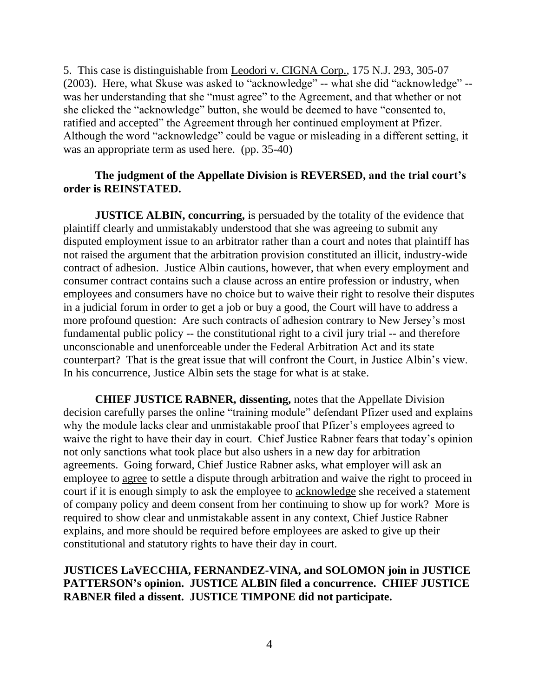5. This case is distinguishable from Leodori v. CIGNA Corp., 175 N.J. 293, 305-07 (2003). Here, what Skuse was asked to "acknowledge" -- what she did "acknowledge" - was her understanding that she "must agree" to the Agreement, and that whether or not she clicked the "acknowledge" button, she would be deemed to have "consented to, ratified and accepted" the Agreement through her continued employment at Pfizer. Although the word "acknowledge" could be vague or misleading in a different setting, it was an appropriate term as used here. (pp. 35-40)

# **The judgment of the Appellate Division is REVERSED, and the trial court's order is REINSTATED.**

**JUSTICE ALBIN, concurring,** is persuaded by the totality of the evidence that plaintiff clearly and unmistakably understood that she was agreeing to submit any disputed employment issue to an arbitrator rather than a court and notes that plaintiff has not raised the argument that the arbitration provision constituted an illicit, industry-wide contract of adhesion. Justice Albin cautions, however, that when every employment and consumer contract contains such a clause across an entire profession or industry, when employees and consumers have no choice but to waive their right to resolve their disputes in a judicial forum in order to get a job or buy a good, the Court will have to address a more profound question: Are such contracts of adhesion contrary to New Jersey's most fundamental public policy -- the constitutional right to a civil jury trial -- and therefore unconscionable and unenforceable under the Federal Arbitration Act and its state counterpart? That is the great issue that will confront the Court, in Justice Albin's view. In his concurrence, Justice Albin sets the stage for what is at stake.

**CHIEF JUSTICE RABNER, dissenting,** notes that the Appellate Division decision carefully parses the online "training module" defendant Pfizer used and explains why the module lacks clear and unmistakable proof that Pfizer's employees agreed to waive the right to have their day in court. Chief Justice Rabner fears that today's opinion not only sanctions what took place but also ushers in a new day for arbitration agreements. Going forward, Chief Justice Rabner asks, what employer will ask an employee to agree to settle a dispute through arbitration and waive the right to proceed in court if it is enough simply to ask the employee to acknowledge she received a statement of company policy and deem consent from her continuing to show up for work? More is required to show clear and unmistakable assent in any context, Chief Justice Rabner explains, and more should be required before employees are asked to give up their constitutional and statutory rights to have their day in court.

# **JUSTICES LaVECCHIA, FERNANDEZ-VINA, and SOLOMON join in JUSTICE PATTERSON's opinion. JUSTICE ALBIN filed a concurrence. CHIEF JUSTICE RABNER filed a dissent. JUSTICE TIMPONE did not participate.**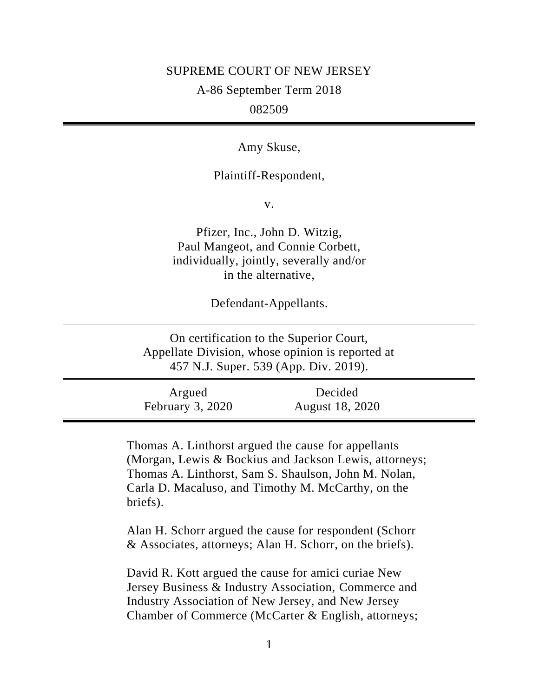#### SUPREME COURT OF NEW JERSEY

A-86 September Term 2018

# 082509

Amy Skuse,

### Plaintiff-Respondent,

v.

Pfizer, Inc., John D. Witzig, Paul Mangeot, and Connie Corbett, individually, jointly, severally and/or in the alternative,

Defendant-Appellants.

On certification to the Superior Court, Appellate Division, whose opinion is reported at 457 N.J. Super. 539 (App. Div. 2019).

Argued February 3, 2020 Decided August 18, 2020

Thomas A. Linthorst argued the cause for appellants (Morgan, Lewis & Bockius and Jackson Lewis, attorneys; Thomas A. Linthorst, Sam S. Shaulson, John M. Nolan, Carla D. Macaluso, and Timothy M. McCarthy, on the briefs).

Alan H. Schorr argued the cause for respondent (Schorr & Associates, attorneys; Alan H. Schorr, on the briefs).

David R. Kott argued the cause for amici curiae New Jersey Business & Industry Association, Commerce and Industry Association of New Jersey, and New Jersey Chamber of Commerce (McCarter & English, attorneys;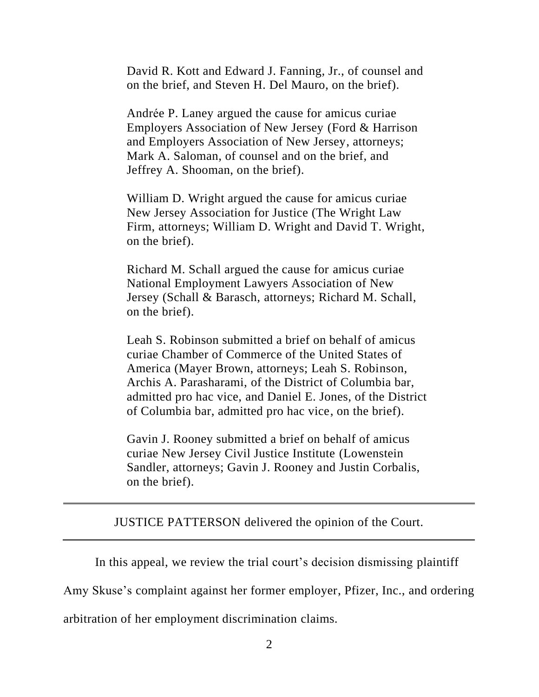David R. Kott and Edward J. Fanning, Jr., of counsel and on the brief, and Steven H. Del Mauro, on the brief).

Andrée P. Laney argued the cause for amicus curiae Employers Association of New Jersey (Ford & Harrison and Employers Association of New Jersey, attorneys; Mark A. Saloman, of counsel and on the brief, and Jeffrey A. Shooman, on the brief).

William D. Wright argued the cause for amicus curiae New Jersey Association for Justice (The Wright Law Firm, attorneys; William D. Wright and David T. Wright, on the brief).

Richard M. Schall argued the cause for amicus curiae National Employment Lawyers Association of New Jersey (Schall & Barasch, attorneys; Richard M. Schall, on the brief).

Leah S. Robinson submitted a brief on behalf of amicus curiae Chamber of Commerce of the United States of America (Mayer Brown, attorneys; Leah S. Robinson, Archis A. Parasharami, of the District of Columbia bar, admitted pro hac vice, and Daniel E. Jones, of the District of Columbia bar, admitted pro hac vice, on the brief).

Gavin J. Rooney submitted a brief on behalf of amicus curiae New Jersey Civil Justice Institute (Lowenstein Sandler, attorneys; Gavin J. Rooney and Justin Corbalis, on the brief).

JUSTICE PATTERSON delivered the opinion of the Court.

In this appeal, we review the trial court's decision dismissing plaintiff

Amy Skuse's complaint against her former employer, Pfizer, Inc., and ordering

arbitration of her employment discrimination claims.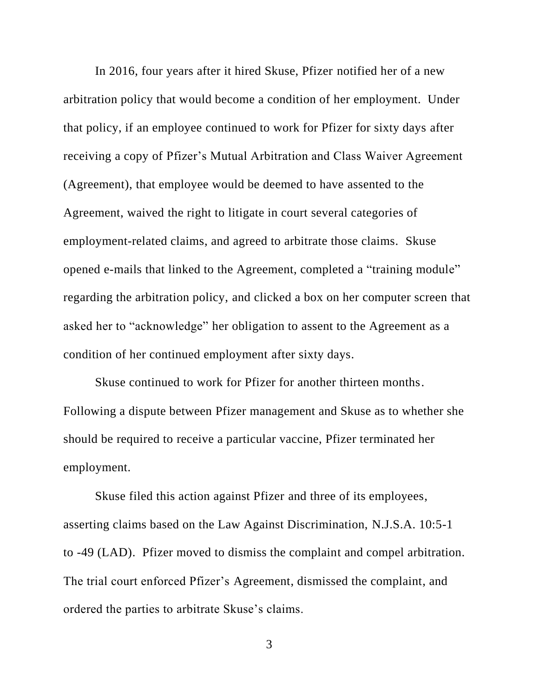In 2016, four years after it hired Skuse, Pfizer notified her of a new arbitration policy that would become a condition of her employment. Under that policy, if an employee continued to work for Pfizer for sixty days after receiving a copy of Pfizer's Mutual Arbitration and Class Waiver Agreement (Agreement), that employee would be deemed to have assented to the Agreement, waived the right to litigate in court several categories of employment-related claims, and agreed to arbitrate those claims. Skuse opened e-mails that linked to the Agreement, completed a "training module" regarding the arbitration policy, and clicked a box on her computer screen that asked her to "acknowledge" her obligation to assent to the Agreement as a condition of her continued employment after sixty days.

Skuse continued to work for Pfizer for another thirteen months. Following a dispute between Pfizer management and Skuse as to whether she should be required to receive a particular vaccine, Pfizer terminated her employment.

Skuse filed this action against Pfizer and three of its employees, asserting claims based on the Law Against Discrimination, N.J.S.A. 10:5-1 to -49 (LAD). Pfizer moved to dismiss the complaint and compel arbitration. The trial court enforced Pfizer's Agreement, dismissed the complaint, and ordered the parties to arbitrate Skuse's claims.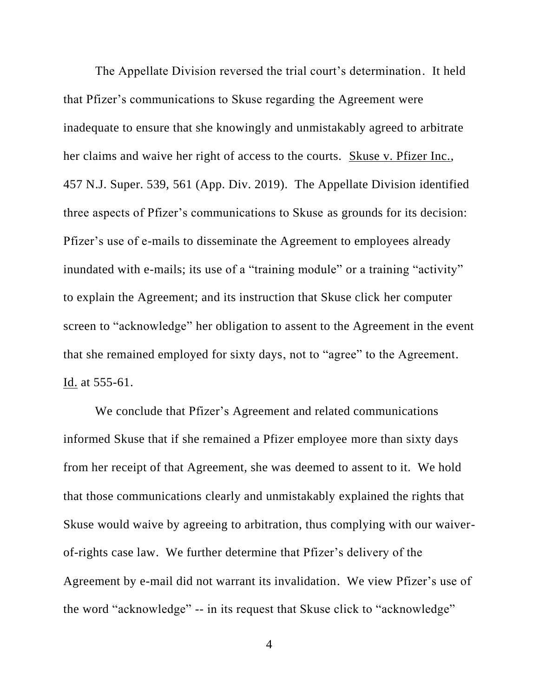The Appellate Division reversed the trial court's determination. It held that Pfizer's communications to Skuse regarding the Agreement were inadequate to ensure that she knowingly and unmistakably agreed to arbitrate her claims and waive her right of access to the courts.Skuse v. Pfizer Inc., 457 N.J. Super. 539, 561 (App. Div. 2019). The Appellate Division identified three aspects of Pfizer's communications to Skuse as grounds for its decision: Pfizer's use of e-mails to disseminate the Agreement to employees already inundated with e-mails; its use of a "training module" or a training "activity" to explain the Agreement; and its instruction that Skuse click her computer screen to "acknowledge" her obligation to assent to the Agreement in the event that she remained employed for sixty days, not to "agree" to the Agreement. Id. at 555-61.

We conclude that Pfizer's Agreement and related communications informed Skuse that if she remained a Pfizer employee more than sixty days from her receipt of that Agreement, she was deemed to assent to it. We hold that those communications clearly and unmistakably explained the rights that Skuse would waive by agreeing to arbitration, thus complying with our waiverof-rights case law. We further determine that Pfizer's delivery of the Agreement by e-mail did not warrant its invalidation. We view Pfizer's use of the word "acknowledge" -- in its request that Skuse click to "acknowledge"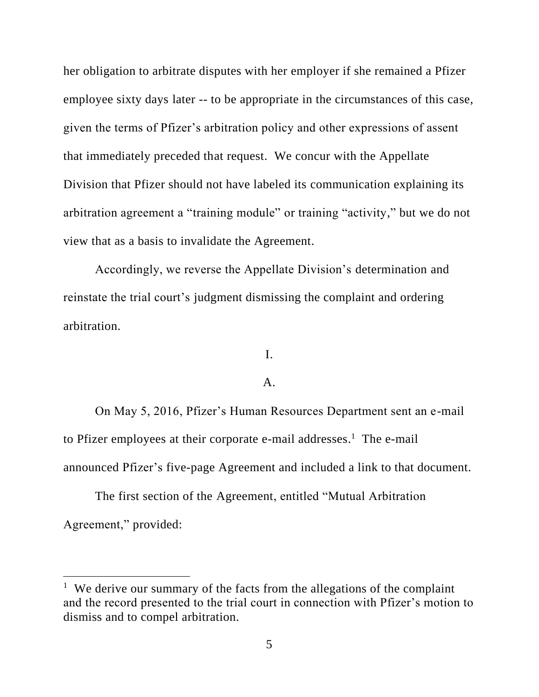her obligation to arbitrate disputes with her employer if she remained a Pfizer employee sixty days later -- to be appropriate in the circumstances of this case, given the terms of Pfizer's arbitration policy and other expressions of assent that immediately preceded that request. We concur with the Appellate Division that Pfizer should not have labeled its communication explaining its arbitration agreement a "training module" or training "activity," but we do not view that as a basis to invalidate the Agreement.

Accordingly, we reverse the Appellate Division's determination and reinstate the trial court's judgment dismissing the complaint and ordering arbitration.

I.

### A.

On May 5, 2016, Pfizer's Human Resources Department sent an e-mail to Pfizer employees at their corporate e-mail addresses.<sup>1</sup> The e-mail announced Pfizer's five-page Agreement and included a link to that document.

The first section of the Agreement, entitled "Mutual Arbitration Agreement," provided:

<sup>&</sup>lt;sup>1</sup> We derive our summary of the facts from the allegations of the complaint and the record presented to the trial court in connection with Pfizer's motion to dismiss and to compel arbitration.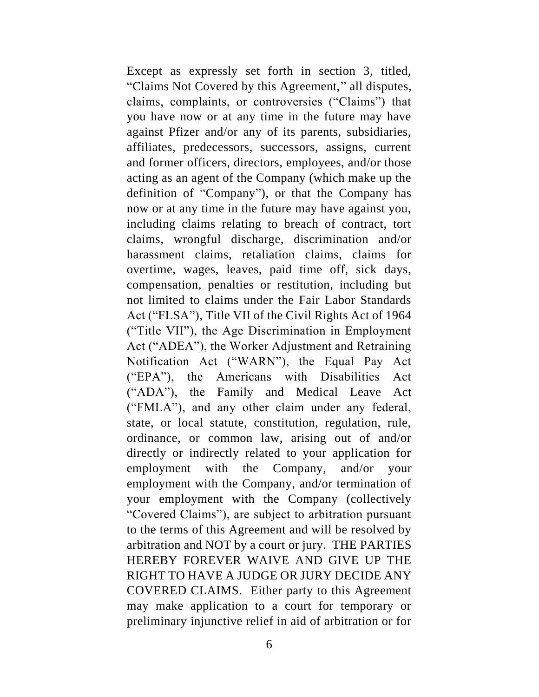Except as expressly set forth in section 3, titled, "Claims Not Covered by this Agreement," all disputes, claims, complaints, or controversies ("Claims") that you have now or at any time in the future may have against Pfizer and/or any of its parents, subsidiaries, affiliates, predecessors, successors, assigns, current and former officers, directors, employees, and/or those acting as an agent of the Company (which make up the definition of "Company"), or that the Company has now or at any time in the future may have against you, including claims relating to breach of contract, tort claims, wrongful discharge, discrimination and/or harassment claims, retaliation claims, claims for overtime, wages, leaves, paid time off, sick days, compensation, penalties or restitution, including but not limited to claims under the Fair Labor Standards Act ("FLSA"), Title VII of the Civil Rights Act of 1964 ("Title VII"), the Age Discrimination in Employment Act ("ADEA"), the Worker Adjustment and Retraining Notification Act ("WARN"), the Equal Pay Act ("EPA"), the Americans with Disabilities Act ("ADA"), the Family and Medical Leave Act ("FMLA"), and any other claim under any federal, state, or local statute, constitution, regulation, rule, ordinance, or common law, arising out of and/or directly or indirectly related to your application for employment with the Company, and/or your employment with the Company, and/or termination of your employment with the Company (collectively "Covered Claims"), are subject to arbitration pursuant to the terms of this Agreement and will be resolved by arbitration and NOT by a court or jury. THE PARTIES HEREBY FOREVER WAIVE AND GIVE UP THE RIGHT TO HAVE A JUDGE OR JURY DECIDE ANY COVERED CLAIMS. Either party to this Agreement may make application to a court for temporary or preliminary injunctive relief in aid of arbitration or for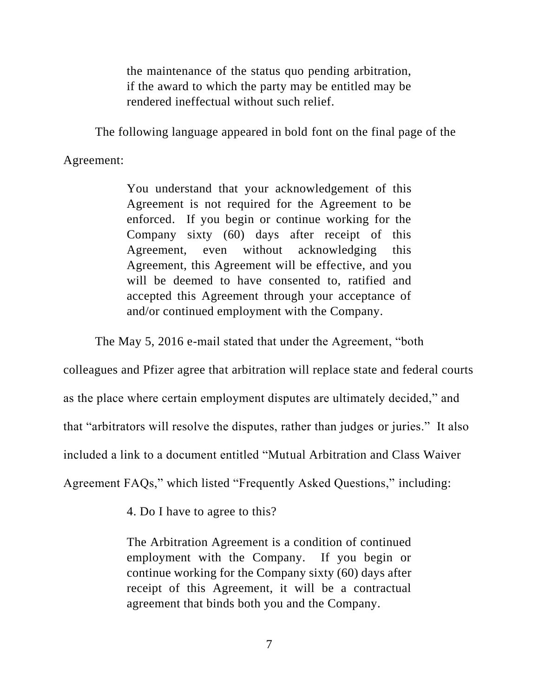the maintenance of the status quo pending arbitration, if the award to which the party may be entitled may be rendered ineffectual without such relief.

The following language appeared in bold font on the final page of the

Agreement:

You understand that your acknowledgement of this Agreement is not required for the Agreement to be enforced. If you begin or continue working for the Company sixty (60) days after receipt of this Agreement, even without acknowledging this Agreement, this Agreement will be effective, and you will be deemed to have consented to, ratified and accepted this Agreement through your acceptance of and/or continued employment with the Company.

The May 5, 2016 e-mail stated that under the Agreement, "both

colleagues and Pfizer agree that arbitration will replace state and federal courts

as the place where certain employment disputes are ultimately decided," and

that "arbitrators will resolve the disputes, rather than judges or juries." It also

included a link to a document entitled "Mutual Arbitration and Class Waiver

Agreement FAQs," which listed "Frequently Asked Questions," including:

4. Do I have to agree to this?

The Arbitration Agreement is a condition of continued employment with the Company. If you begin or continue working for the Company sixty (60) days after receipt of this Agreement, it will be a contractual agreement that binds both you and the Company.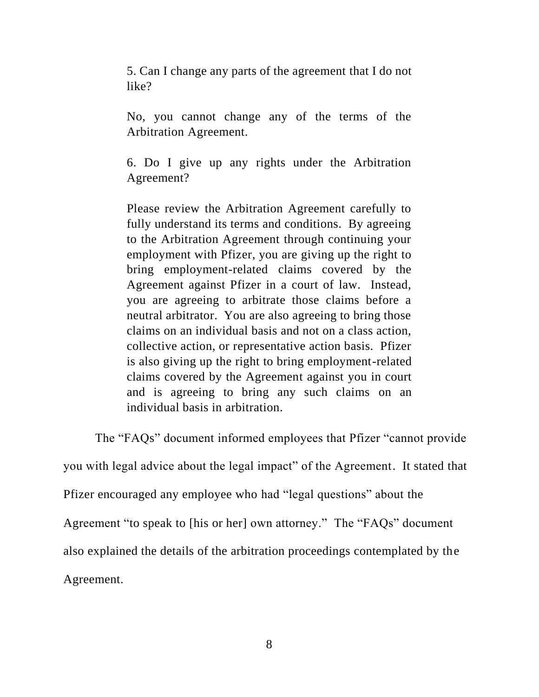5. Can I change any parts of the agreement that I do not like?

No, you cannot change any of the terms of the Arbitration Agreement.

6. Do I give up any rights under the Arbitration Agreement?

Please review the Arbitration Agreement carefully to fully understand its terms and conditions. By agreeing to the Arbitration Agreement through continuing your employment with Pfizer, you are giving up the right to bring employment-related claims covered by the Agreement against Pfizer in a court of law. Instead, you are agreeing to arbitrate those claims before a neutral arbitrator. You are also agreeing to bring those claims on an individual basis and not on a class action, collective action, or representative action basis. Pfizer is also giving up the right to bring employment-related claims covered by the Agreement against you in court and is agreeing to bring any such claims on an individual basis in arbitration.

The "FAQs" document informed employees that Pfizer "cannot provide

you with legal advice about the legal impact" of the Agreement. It stated that

Pfizer encouraged any employee who had "legal questions" about the

Agreement "to speak to [his or her] own attorney." The "FAQs" document

also explained the details of the arbitration proceedings contemplated by the

Agreement.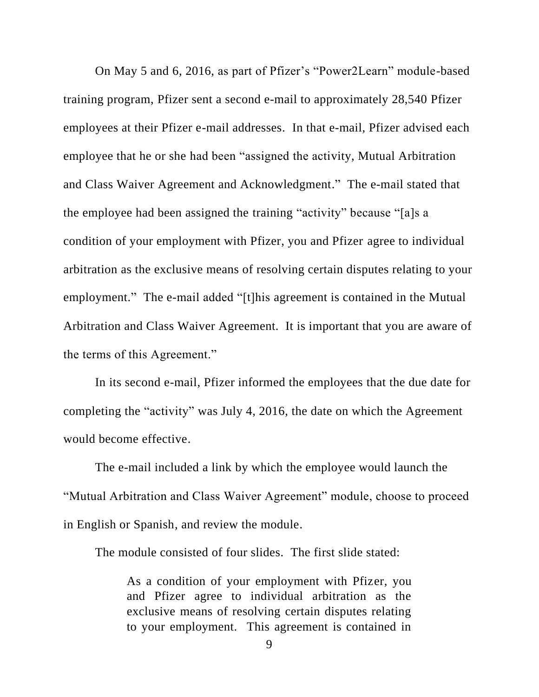On May 5 and 6, 2016, as part of Pfizer's "Power2Learn" module-based training program, Pfizer sent a second e-mail to approximately 28,540 Pfizer employees at their Pfizer e-mail addresses. In that e-mail, Pfizer advised each employee that he or she had been "assigned the activity, Mutual Arbitration and Class Waiver Agreement and Acknowledgment." The e-mail stated that the employee had been assigned the training "activity" because "[a]s a condition of your employment with Pfizer, you and Pfizer agree to individual arbitration as the exclusive means of resolving certain disputes relating to your employment." The e-mail added "[t]his agreement is contained in the Mutual Arbitration and Class Waiver Agreement. It is important that you are aware of the terms of this Agreement."

In its second e-mail, Pfizer informed the employees that the due date for completing the "activity" was July 4, 2016, the date on which the Agreement would become effective.

The e-mail included a link by which the employee would launch the "Mutual Arbitration and Class Waiver Agreement" module, choose to proceed in English or Spanish, and review the module.

The module consisted of four slides. The first slide stated:

As a condition of your employment with Pfizer, you and Pfizer agree to individual arbitration as the exclusive means of resolving certain disputes relating to your employment. This agreement is contained in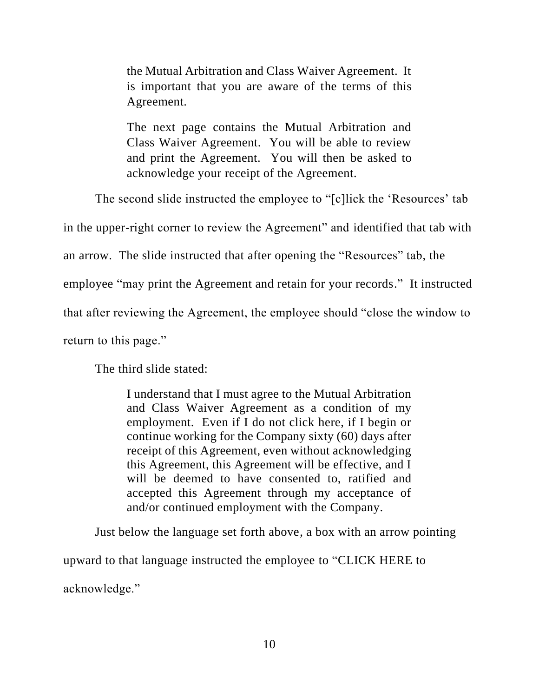the Mutual Arbitration and Class Waiver Agreement. It is important that you are aware of the terms of this Agreement.

The next page contains the Mutual Arbitration and Class Waiver Agreement. You will be able to review and print the Agreement. You will then be asked to acknowledge your receipt of the Agreement.

The second slide instructed the employee to "[c]lick the 'Resources' tab

in the upper-right corner to review the Agreement" and identified that tab with

an arrow. The slide instructed that after opening the "Resources" tab, the

employee "may print the Agreement and retain for your records." It instructed

that after reviewing the Agreement, the employee should "close the window to

return to this page."

The third slide stated:

I understand that I must agree to the Mutual Arbitration and Class Waiver Agreement as a condition of my employment. Even if I do not click here, if I begin or continue working for the Company sixty (60) days after receipt of this Agreement, even without acknowledging this Agreement, this Agreement will be effective, and I will be deemed to have consented to, ratified and accepted this Agreement through my acceptance of and/or continued employment with the Company.

Just below the language set forth above, a box with an arrow pointing upward to that language instructed the employee to "CLICK HERE to acknowledge."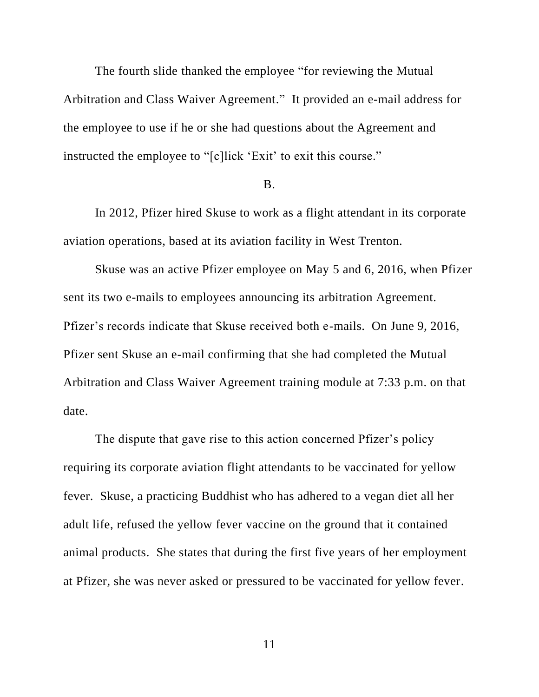The fourth slide thanked the employee "for reviewing the Mutual Arbitration and Class Waiver Agreement." It provided an e-mail address for the employee to use if he or she had questions about the Agreement and instructed the employee to "[c]lick 'Exit' to exit this course."

### B.

In 2012, Pfizer hired Skuse to work as a flight attendant in its corporate aviation operations, based at its aviation facility in West Trenton.

Skuse was an active Pfizer employee on May 5 and 6, 2016, when Pfizer sent its two e-mails to employees announcing its arbitration Agreement. Pfizer's records indicate that Skuse received both e-mails. On June 9, 2016, Pfizer sent Skuse an e-mail confirming that she had completed the Mutual Arbitration and Class Waiver Agreement training module at 7:33 p.m. on that date.

The dispute that gave rise to this action concerned Pfizer's policy requiring its corporate aviation flight attendants to be vaccinated for yellow fever. Skuse, a practicing Buddhist who has adhered to a vegan diet all her adult life, refused the yellow fever vaccine on the ground that it contained animal products. She states that during the first five years of her employment at Pfizer, she was never asked or pressured to be vaccinated for yellow fever.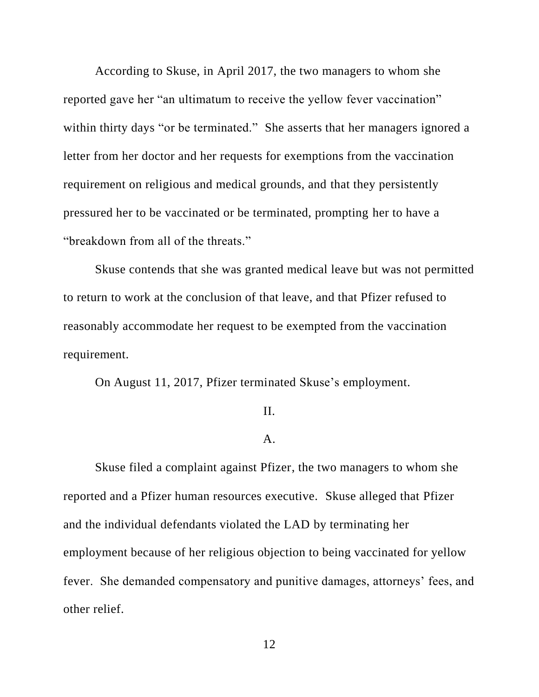According to Skuse, in April 2017, the two managers to whom she reported gave her "an ultimatum to receive the yellow fever vaccination" within thirty days "or be terminated." She asserts that her managers ignored a letter from her doctor and her requests for exemptions from the vaccination requirement on religious and medical grounds, and that they persistently pressured her to be vaccinated or be terminated, prompting her to have a "breakdown from all of the threats."

Skuse contends that she was granted medical leave but was not permitted to return to work at the conclusion of that leave, and that Pfizer refused to reasonably accommodate her request to be exempted from the vaccination requirement.

On August 11, 2017, Pfizer terminated Skuse's employment.

#### II.

## A.

Skuse filed a complaint against Pfizer, the two managers to whom she reported and a Pfizer human resources executive. Skuse alleged that Pfizer and the individual defendants violated the LAD by terminating her employment because of her religious objection to being vaccinated for yellow fever. She demanded compensatory and punitive damages, attorneys' fees, and other relief.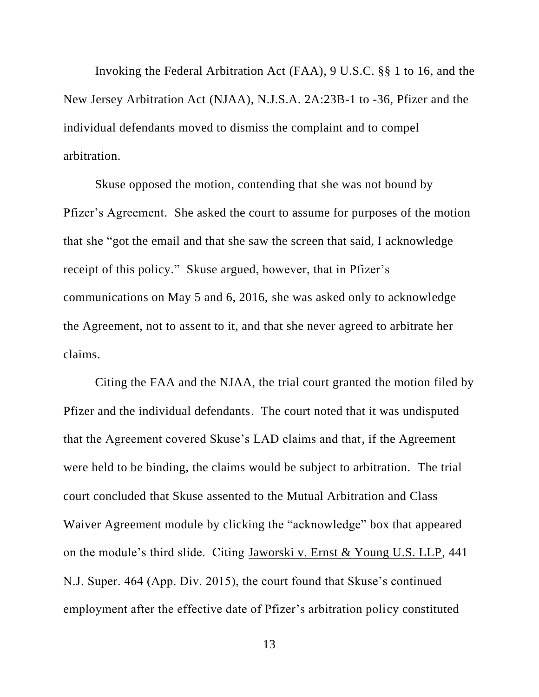Invoking the Federal Arbitration Act (FAA), 9 U.S.C. §§ 1 to 16, and the New Jersey Arbitration Act (NJAA), N.J.S.A. 2A:23B-1 to -36, Pfizer and the individual defendants moved to dismiss the complaint and to compel arbitration.

Skuse opposed the motion, contending that she was not bound by Pfizer's Agreement. She asked the court to assume for purposes of the motion that she "got the email and that she saw the screen that said, I acknowledge receipt of this policy." Skuse argued, however, that in Pfizer's communications on May 5 and 6, 2016, she was asked only to acknowledge the Agreement, not to assent to it, and that she never agreed to arbitrate her claims.

Citing the FAA and the NJAA, the trial court granted the motion filed by Pfizer and the individual defendants. The court noted that it was undisputed that the Agreement covered Skuse's LAD claims and that, if the Agreement were held to be binding, the claims would be subject to arbitration. The trial court concluded that Skuse assented to the Mutual Arbitration and Class Waiver Agreement module by clicking the "acknowledge" box that appeared on the module's third slide. Citing Jaworski v. Ernst & Young U.S. LLP, 441 N.J. Super. 464 (App. Div. 2015), the court found that Skuse's continued employment after the effective date of Pfizer's arbitration policy constituted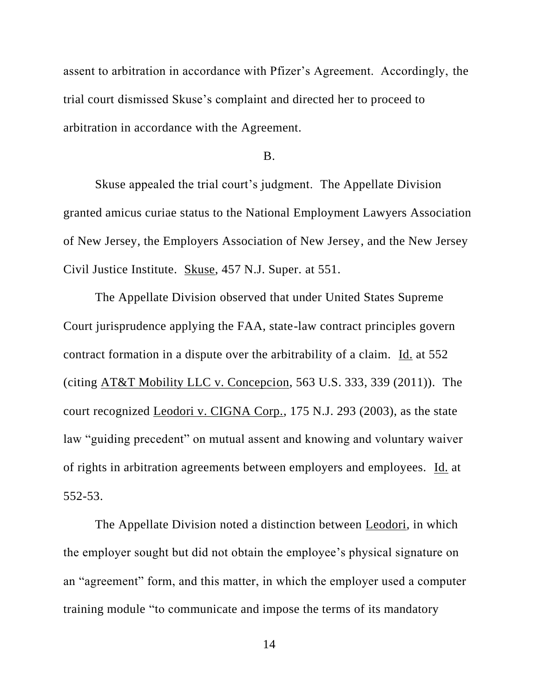assent to arbitration in accordance with Pfizer's Agreement. Accordingly, the trial court dismissed Skuse's complaint and directed her to proceed to arbitration in accordance with the Agreement.

#### B.

Skuse appealed the trial court's judgment. The Appellate Division granted amicus curiae status to the National Employment Lawyers Association of New Jersey, the Employers Association of New Jersey, and the New Jersey Civil Justice Institute. Skuse, 457 N.J. Super. at 551.

The Appellate Division observed that under United States Supreme Court jurisprudence applying the FAA, state-law contract principles govern contract formation in a dispute over the arbitrability of a claim. Id. at 552 (citing AT&T Mobility LLC v. Concepcion, 563 U.S. 333, 339 (2011)). The court recognized Leodori v. CIGNA Corp., 175 N.J. 293 (2003), as the state law "guiding precedent" on mutual assent and knowing and voluntary waiver of rights in arbitration agreements between employers and employees. Id. at 552-53.

The Appellate Division noted a distinction between Leodori, in which the employer sought but did not obtain the employee's physical signature on an "agreement" form, and this matter, in which the employer used a computer training module "to communicate and impose the terms of its mandatory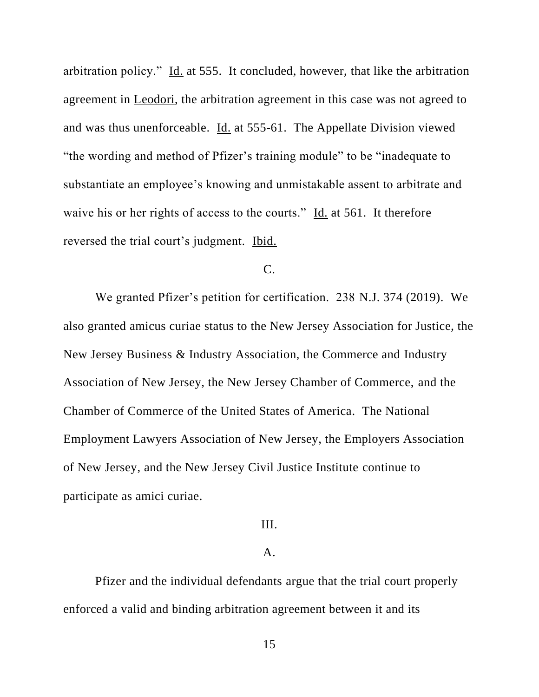arbitration policy." Id. at 555. It concluded, however, that like the arbitration agreement in Leodori, the arbitration agreement in this case was not agreed to and was thus unenforceable. Id. at 555-61. The Appellate Division viewed "the wording and method of Pfizer's training module" to be "inadequate to substantiate an employee's knowing and unmistakable assent to arbitrate and waive his or her rights of access to the courts." Id. at 561. It therefore reversed the trial court's judgment. Ibid.

# $C<sub>c</sub>$

We granted Pfizer's petition for certification. 238 N.J. 374 (2019). We also granted amicus curiae status to the New Jersey Association for Justice, the New Jersey Business & Industry Association, the Commerce and Industry Association of New Jersey, the New Jersey Chamber of Commerce, and the Chamber of Commerce of the United States of America. The National Employment Lawyers Association of New Jersey, the Employers Association of New Jersey, and the New Jersey Civil Justice Institute continue to participate as amici curiae.

# III.

# A.

Pfizer and the individual defendants argue that the trial court properly enforced a valid and binding arbitration agreement between it and its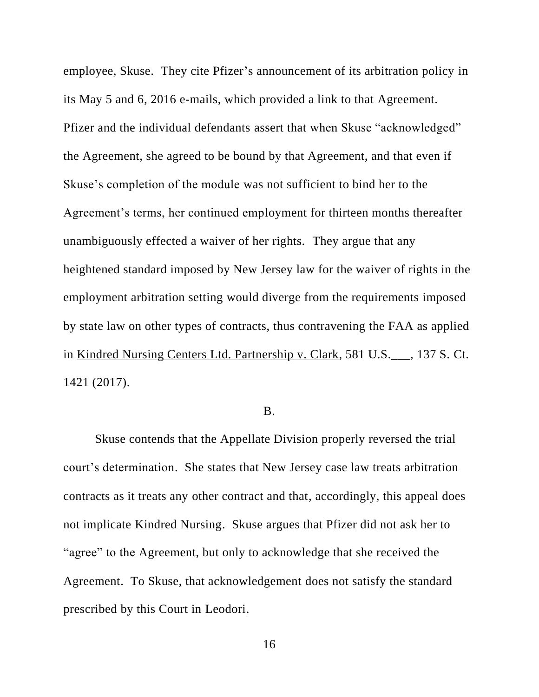employee, Skuse. They cite Pfizer's announcement of its arbitration policy in its May 5 and 6, 2016 e-mails, which provided a link to that Agreement. Pfizer and the individual defendants assert that when Skuse "acknowledged" the Agreement, she agreed to be bound by that Agreement, and that even if Skuse's completion of the module was not sufficient to bind her to the Agreement's terms, her continued employment for thirteen months thereafter unambiguously effected a waiver of her rights. They argue that any heightened standard imposed by New Jersey law for the waiver of rights in the employment arbitration setting would diverge from the requirements imposed by state law on other types of contracts, thus contravening the FAA as applied in Kindred Nursing Centers Ltd. Partnership v. Clark, 581 U.S.\_\_\_, 137 S. Ct. 1421 (2017).

### B.

Skuse contends that the Appellate Division properly reversed the trial court's determination. She states that New Jersey case law treats arbitration contracts as it treats any other contract and that, accordingly, this appeal does not implicate Kindred Nursing. Skuse argues that Pfizer did not ask her to "agree" to the Agreement, but only to acknowledge that she received the Agreement. To Skuse, that acknowledgement does not satisfy the standard prescribed by this Court in Leodori.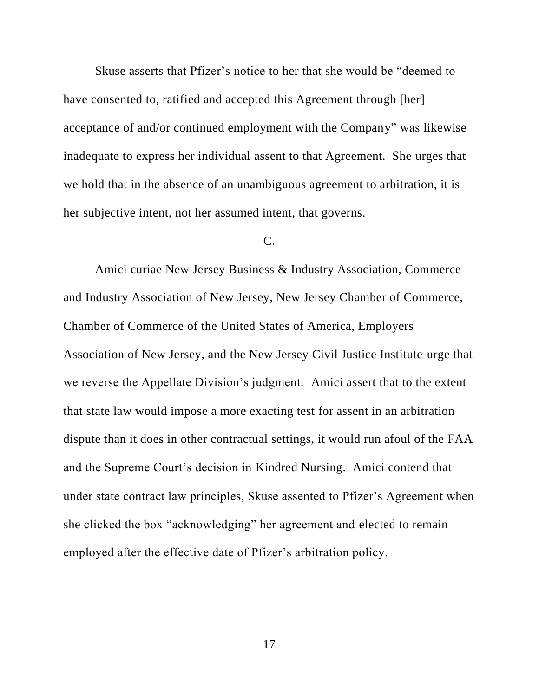Skuse asserts that Pfizer's notice to her that she would be "deemed to have consented to, ratified and accepted this Agreement through [her] acceptance of and/or continued employment with the Company" was likewise inadequate to express her individual assent to that Agreement. She urges that we hold that in the absence of an unambiguous agreement to arbitration, it is her subjective intent, not her assumed intent, that governs.

# C.

Amici curiae New Jersey Business & Industry Association, Commerce and Industry Association of New Jersey, New Jersey Chamber of Commerce, Chamber of Commerce of the United States of America, Employers Association of New Jersey, and the New Jersey Civil Justice Institute urge that we reverse the Appellate Division's judgment. Amici assert that to the extent that state law would impose a more exacting test for assent in an arbitration dispute than it does in other contractual settings, it would run afoul of the FAA and the Supreme Court's decision in Kindred Nursing. Amici contend that under state contract law principles, Skuse assented to Pfizer's Agreement when she clicked the box "acknowledging" her agreement and elected to remain employed after the effective date of Pfizer's arbitration policy.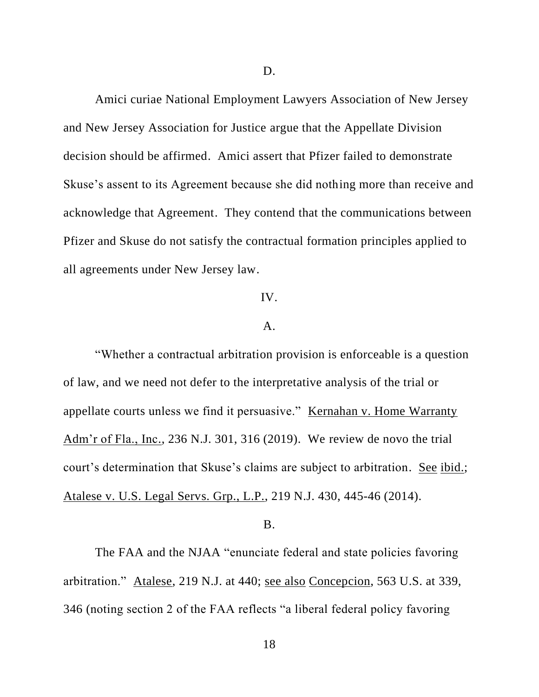Amici curiae National Employment Lawyers Association of New Jersey and New Jersey Association for Justice argue that the Appellate Division decision should be affirmed. Amici assert that Pfizer failed to demonstrate Skuse's assent to its Agreement because she did nothing more than receive and acknowledge that Agreement. They contend that the communications between Pfizer and Skuse do not satisfy the contractual formation principles applied to all agreements under New Jersey law.

# IV.

### A.

"Whether a contractual arbitration provision is enforceable is a question of law, and we need not defer to the interpretative analysis of the trial or appellate courts unless we find it persuasive." Kernahan v. Home Warranty Adm'r of Fla., Inc., 236 N.J. 301, 316 (2019). We review de novo the trial court's determination that Skuse's claims are subject to arbitration. See ibid.; Atalese v. U.S. Legal Servs. Grp., L.P., 219 N.J. 430, 445-46 (2014).

#### B.

The FAA and the NJAA "enunciate federal and state policies favoring arbitration." Atalese, 219 N.J. at 440; see also Concepcion, 563 U.S. at 339, 346 (noting section 2 of the FAA reflects "a liberal federal policy favoring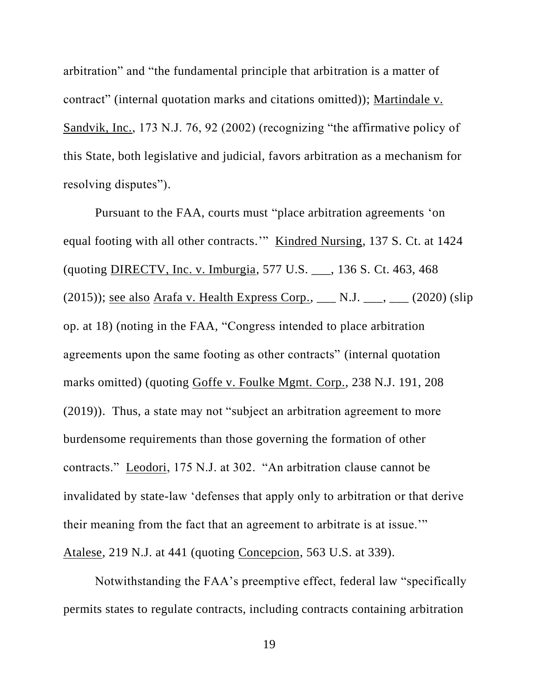arbitration" and "the fundamental principle that arbitration is a matter of contract" (internal quotation marks and citations omitted)); Martindale v. Sandvik, Inc., 173 N.J. 76, 92 (2002) (recognizing "the affirmative policy of this State, both legislative and judicial, favors arbitration as a mechanism for resolving disputes").

Pursuant to the FAA, courts must "place arbitration agreements 'on equal footing with all other contracts." Kindred Nursing, 137 S. Ct. at 1424 (quoting DIRECTV, Inc. v. Imburgia, 577 U.S. \_\_\_, 136 S. Ct. 463, 468 (2015)); see also Arafa v. Health Express Corp.,  $\_\_$  N.J.  $\_\_$ ,  $\_\_$  (2020) (slip op. at 18) (noting in the FAA, "Congress intended to place arbitration agreements upon the same footing as other contracts" (internal quotation marks omitted) (quoting Goffe v. Foulke Mgmt. Corp., 238 N.J. 191, 208 (2019)). Thus, a state may not "subject an arbitration agreement to more burdensome requirements than those governing the formation of other contracts." Leodori, 175 N.J. at 302. "An arbitration clause cannot be invalidated by state-law 'defenses that apply only to arbitration or that derive their meaning from the fact that an agreement to arbitrate is at issue.'" Atalese, 219 N.J. at 441 (quoting Concepcion, 563 U.S. at 339).

Notwithstanding the FAA's preemptive effect, federal law "specifically permits states to regulate contracts, including contracts containing arbitration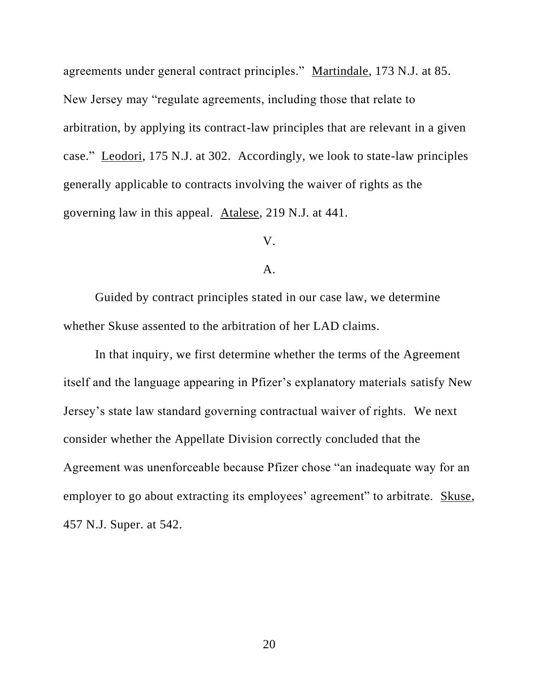agreements under general contract principles." Martindale, 173 N.J. at 85. New Jersey may "regulate agreements, including those that relate to arbitration, by applying its contract-law principles that are relevant in a given case." Leodori, 175 N.J. at 302. Accordingly, we look to state-law principles generally applicable to contracts involving the waiver of rights as the governing law in this appeal. Atalese, 219 N.J. at 441.

# V.

### A.

Guided by contract principles stated in our case law, we determine whether Skuse assented to the arbitration of her LAD claims.

In that inquiry, we first determine whether the terms of the Agreement itself and the language appearing in Pfizer's explanatory materials satisfy New Jersey's state law standard governing contractual waiver of rights. We next consider whether the Appellate Division correctly concluded that the Agreement was unenforceable because Pfizer chose "an inadequate way for an employer to go about extracting its employees' agreement" to arbitrate. Skuse, 457 N.J. Super. at 542.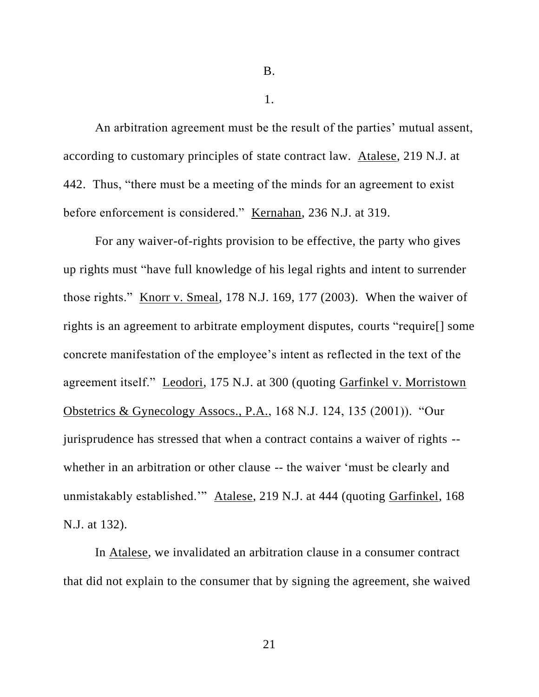B.

1.

An arbitration agreement must be the result of the parties' mutual assent, according to customary principles of state contract law. Atalese, 219 N.J. at 442. Thus, "there must be a meeting of the minds for an agreement to exist before enforcement is considered." Kernahan, 236 N.J. at 319.

For any waiver-of-rights provision to be effective, the party who gives up rights must "have full knowledge of his legal rights and intent to surrender those rights." Knorr v. Smeal, 178 N.J. 169, 177 (2003). When the waiver of rights is an agreement to arbitrate employment disputes, courts "require[] some concrete manifestation of the employee's intent as reflected in the text of the agreement itself." Leodori, 175 N.J. at 300 (quoting Garfinkel v. Morristown Obstetrics & Gynecology Assocs., P.A., 168 N.J. 124, 135 (2001)). "Our jurisprudence has stressed that when a contract contains a waiver of rights - whether in an arbitration or other clause -- the waiver 'must be clearly and unmistakably established.'" Atalese, 219 N.J. at 444 (quoting Garfinkel, 168 N.J. at 132).

In Atalese, we invalidated an arbitration clause in a consumer contract that did not explain to the consumer that by signing the agreement, she waived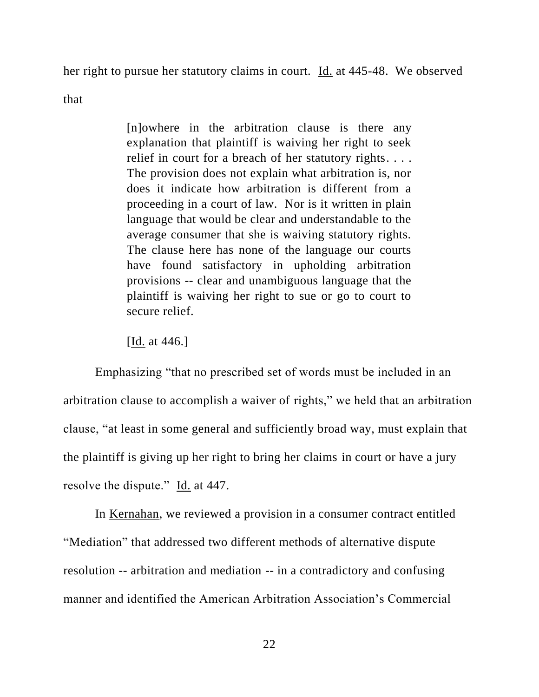her right to pursue her statutory claims in court. Id. at 445-48. We observed

that

[n]owhere in the arbitration clause is there any explanation that plaintiff is waiving her right to seek relief in court for a breach of her statutory rights. . . . The provision does not explain what arbitration is, nor does it indicate how arbitration is different from a proceeding in a court of law. Nor is it written in plain language that would be clear and understandable to the average consumer that she is waiving statutory rights. The clause here has none of the language our courts have found satisfactory in upholding arbitration provisions -- clear and unambiguous language that the plaintiff is waiving her right to sue or go to court to secure relief.

[**Id.** at 446.]

Emphasizing "that no prescribed set of words must be included in an arbitration clause to accomplish a waiver of rights," we held that an arbitration clause, "at least in some general and sufficiently broad way, must explain that the plaintiff is giving up her right to bring her claims in court or have a jury resolve the dispute." Id. at 447.

In Kernahan, we reviewed a provision in a consumer contract entitled "Mediation" that addressed two different methods of alternative dispute resolution -- arbitration and mediation -- in a contradictory and confusing manner and identified the American Arbitration Association's Commercial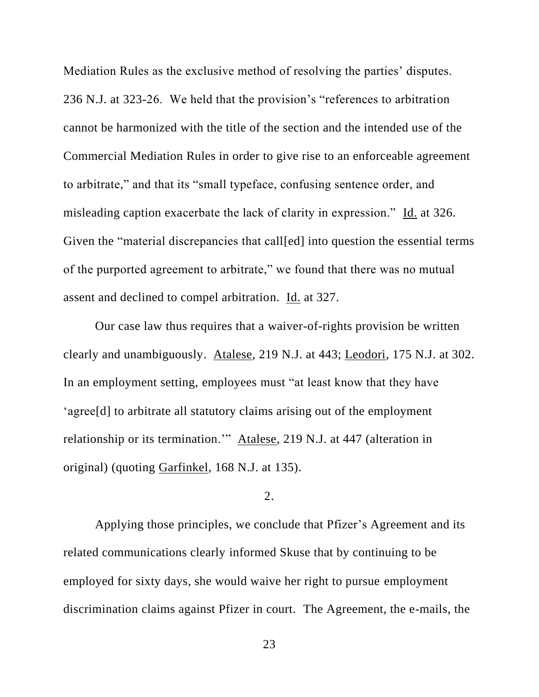Mediation Rules as the exclusive method of resolving the parties' disputes. 236 N.J. at 323-26. We held that the provision's "references to arbitration cannot be harmonized with the title of the section and the intended use of the Commercial Mediation Rules in order to give rise to an enforceable agreement to arbitrate," and that its "small typeface, confusing sentence order, and misleading caption exacerbate the lack of clarity in expression." Id. at 326. Given the "material discrepancies that call[ed] into question the essential terms of the purported agreement to arbitrate," we found that there was no mutual assent and declined to compel arbitration. Id. at 327.

Our case law thus requires that a waiver-of-rights provision be written clearly and unambiguously. Atalese, 219 N.J. at 443; Leodori, 175 N.J. at 302. In an employment setting, employees must "at least know that they have 'agree[d] to arbitrate all statutory claims arising out of the employment relationship or its termination.'" Atalese, 219 N.J. at 447 (alteration in original) (quoting Garfinkel, 168 N.J. at 135).

# 2.

Applying those principles, we conclude that Pfizer's Agreement and its related communications clearly informed Skuse that by continuing to be employed for sixty days, she would waive her right to pursue employment discrimination claims against Pfizer in court. The Agreement, the e-mails, the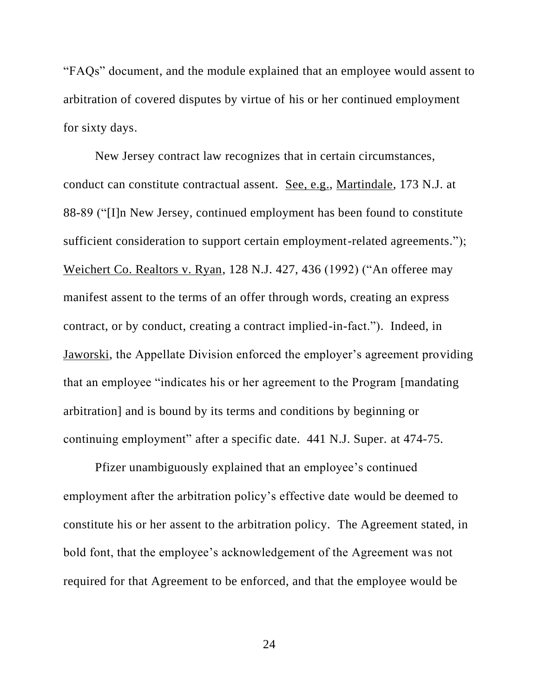"FAQs" document, and the module explained that an employee would assent to arbitration of covered disputes by virtue of his or her continued employment for sixty days.

New Jersey contract law recognizes that in certain circumstances, conduct can constitute contractual assent. See, e.g., Martindale, 173 N.J. at 88-89 ("[I]n New Jersey, continued employment has been found to constitute sufficient consideration to support certain employment-related agreements."); Weichert Co. Realtors v. Ryan, 128 N.J. 427, 436 (1992) ("An offeree may manifest assent to the terms of an offer through words, creating an express contract, or by conduct, creating a contract implied-in-fact."). Indeed, in Jaworski, the Appellate Division enforced the employer's agreement providing that an employee "indicates his or her agreement to the Program [mandating arbitration] and is bound by its terms and conditions by beginning or continuing employment" after a specific date. 441 N.J. Super. at 474-75.

Pfizer unambiguously explained that an employee's continued employment after the arbitration policy's effective date would be deemed to constitute his or her assent to the arbitration policy. The Agreement stated, in bold font, that the employee's acknowledgement of the Agreement was not required for that Agreement to be enforced, and that the employee would be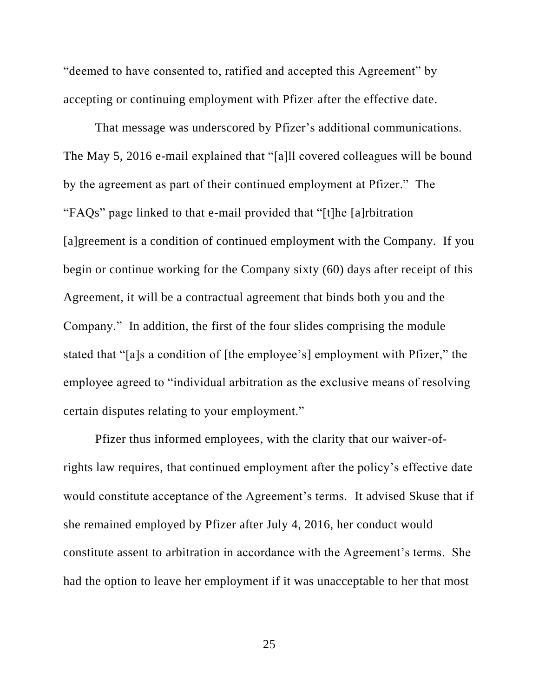"deemed to have consented to, ratified and accepted this Agreement" by accepting or continuing employment with Pfizer after the effective date.

That message was underscored by Pfizer's additional communications. The May 5, 2016 e-mail explained that "[a]ll covered colleagues will be bound by the agreement as part of their continued employment at Pfizer." The "FAQs" page linked to that e-mail provided that "[t]he [a]rbitration [a]greement is a condition of continued employment with the Company. If you begin or continue working for the Company sixty (60) days after receipt of this Agreement, it will be a contractual agreement that binds both you and the Company." In addition, the first of the four slides comprising the module stated that "[a]s a condition of [the employee's] employment with Pfizer," the employee agreed to "individual arbitration as the exclusive means of resolving certain disputes relating to your employment."

Pfizer thus informed employees, with the clarity that our waiver-ofrights law requires, that continued employment after the policy's effective date would constitute acceptance of the Agreement's terms. It advised Skuse that if she remained employed by Pfizer after July 4, 2016, her conduct would constitute assent to arbitration in accordance with the Agreement's terms. She had the option to leave her employment if it was unacceptable to her that most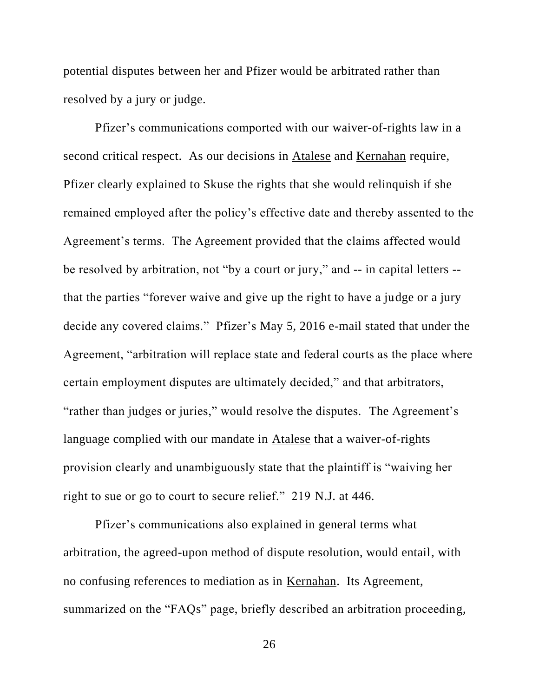potential disputes between her and Pfizer would be arbitrated rather than resolved by a jury or judge.

Pfizer's communications comported with our waiver-of-rights law in a second critical respect. As our decisions in Atalese and Kernahan require, Pfizer clearly explained to Skuse the rights that she would relinquish if she remained employed after the policy's effective date and thereby assented to the Agreement's terms. The Agreement provided that the claims affected would be resolved by arbitration, not "by a court or jury," and -- in capital letters - that the parties "forever waive and give up the right to have a judge or a jury decide any covered claims." Pfizer's May 5, 2016 e-mail stated that under the Agreement, "arbitration will replace state and federal courts as the place where certain employment disputes are ultimately decided," and that arbitrators, "rather than judges or juries," would resolve the disputes. The Agreement's language complied with our mandate in Atalese that a waiver-of-rights provision clearly and unambiguously state that the plaintiff is "waiving her right to sue or go to court to secure relief." 219 N.J. at 446.

Pfizer's communications also explained in general terms what arbitration, the agreed-upon method of dispute resolution, would entail, with no confusing references to mediation as in Kernahan. Its Agreement, summarized on the "FAQs" page, briefly described an arbitration proceeding,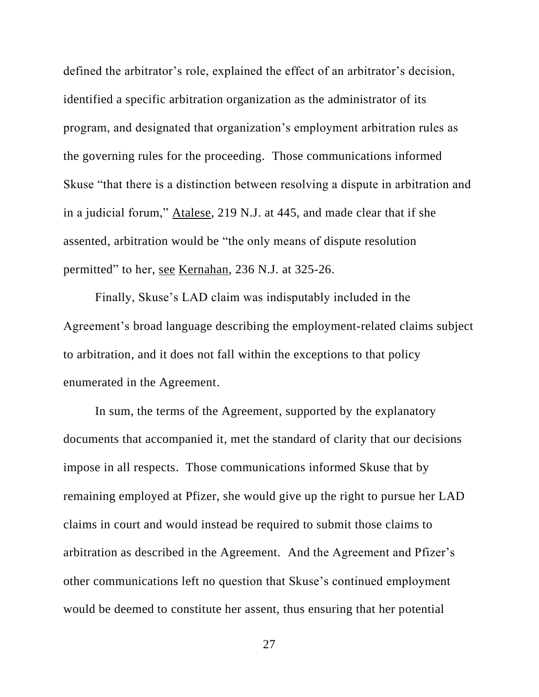defined the arbitrator's role, explained the effect of an arbitrator's decision, identified a specific arbitration organization as the administrator of its program, and designated that organization's employment arbitration rules as the governing rules for the proceeding. Those communications informed Skuse "that there is a distinction between resolving a dispute in arbitration and in a judicial forum," Atalese, 219 N.J. at 445, and made clear that if she assented, arbitration would be "the only means of dispute resolution permitted" to her, see Kernahan, 236 N.J. at 325-26.

Finally, Skuse's LAD claim was indisputably included in the Agreement's broad language describing the employment-related claims subject to arbitration, and it does not fall within the exceptions to that policy enumerated in the Agreement.

In sum, the terms of the Agreement, supported by the explanatory documents that accompanied it, met the standard of clarity that our decisions impose in all respects. Those communications informed Skuse that by remaining employed at Pfizer, she would give up the right to pursue her LAD claims in court and would instead be required to submit those claims to arbitration as described in the Agreement. And the Agreement and Pfizer's other communications left no question that Skuse's continued employment would be deemed to constitute her assent, thus ensuring that her potential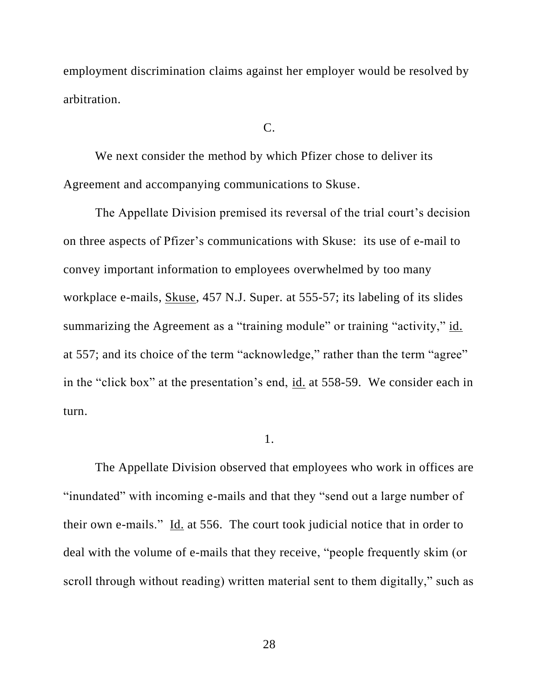employment discrimination claims against her employer would be resolved by arbitration.

#### C.

We next consider the method by which Pfizer chose to deliver its Agreement and accompanying communications to Skuse.

The Appellate Division premised its reversal of the trial court's decision on three aspects of Pfizer's communications with Skuse: its use of e-mail to convey important information to employees overwhelmed by too many workplace e-mails, Skuse, 457 N.J. Super. at 555-57; its labeling of its slides summarizing the Agreement as a "training module" or training "activity," id. at 557; and its choice of the term "acknowledge," rather than the term "agree" in the "click box" at the presentation's end, id. at 558-59. We consider each in turn.

#### 1.

The Appellate Division observed that employees who work in offices are "inundated" with incoming e-mails and that they "send out a large number of their own e-mails." Id. at 556. The court took judicial notice that in order to deal with the volume of e-mails that they receive, "people frequently skim (or scroll through without reading) written material sent to them digitally," such as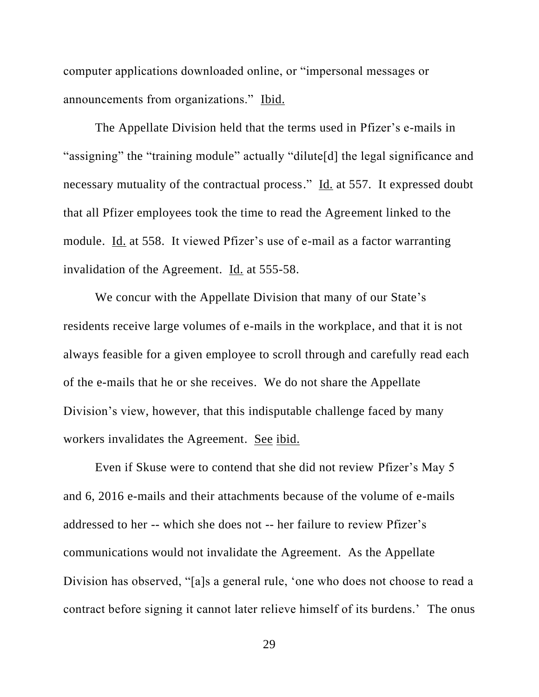computer applications downloaded online, or "impersonal messages or announcements from organizations." Ibid.

The Appellate Division held that the terms used in Pfizer's e-mails in "assigning" the "training module" actually "dilute[d] the legal significance and necessary mutuality of the contractual process." Id. at 557. It expressed doubt that all Pfizer employees took the time to read the Agreement linked to the module. Id. at 558. It viewed Pfizer's use of e-mail as a factor warranting invalidation of the Agreement. Id. at 555-58.

We concur with the Appellate Division that many of our State's residents receive large volumes of e-mails in the workplace, and that it is not always feasible for a given employee to scroll through and carefully read each of the e-mails that he or she receives. We do not share the Appellate Division's view, however, that this indisputable challenge faced by many workers invalidates the Agreement. See ibid.

Even if Skuse were to contend that she did not review Pfizer's May 5 and 6, 2016 e-mails and their attachments because of the volume of e-mails addressed to her -- which she does not -- her failure to review Pfizer's communications would not invalidate the Agreement. As the Appellate Division has observed, "[a]s a general rule, 'one who does not choose to read a contract before signing it cannot later relieve himself of its burdens.' The onus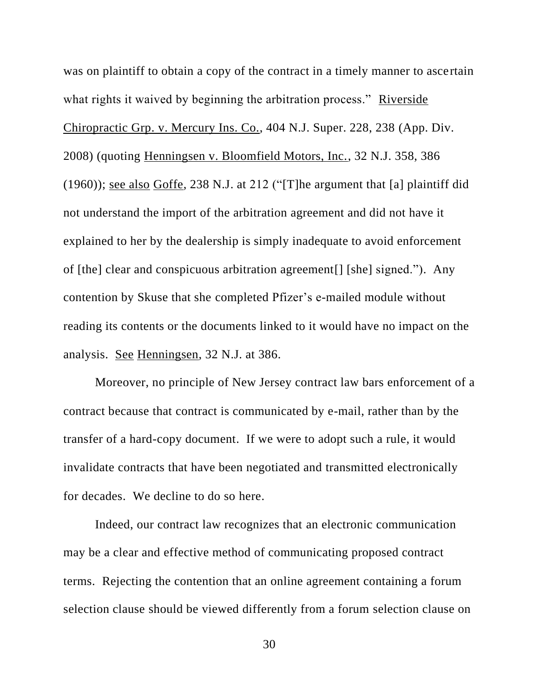was on plaintiff to obtain a copy of the contract in a timely manner to ascertain what rights it waived by beginning the arbitration process." Riverside Chiropractic Grp. v. Mercury Ins. Co., 404 N.J. Super. 228, 238 (App. Div. 2008) (quoting Henningsen v. Bloomfield Motors, Inc., 32 N.J. 358, 386 (1960)); see also Goffe, 238 N.J. at 212 ("[T]he argument that [a] plaintiff did not understand the import of the arbitration agreement and did not have it explained to her by the dealership is simply inadequate to avoid enforcement of [the] clear and conspicuous arbitration agreement[] [she] signed."). Any contention by Skuse that she completed Pfizer's e-mailed module without reading its contents or the documents linked to it would have no impact on the analysis. See Henningsen, 32 N.J. at 386.

Moreover, no principle of New Jersey contract law bars enforcement of a contract because that contract is communicated by e-mail, rather than by the transfer of a hard-copy document. If we were to adopt such a rule, it would invalidate contracts that have been negotiated and transmitted electronically for decades. We decline to do so here.

Indeed, our contract law recognizes that an electronic communication may be a clear and effective method of communicating proposed contract terms. Rejecting the contention that an online agreement containing a forum selection clause should be viewed differently from a forum selection clause on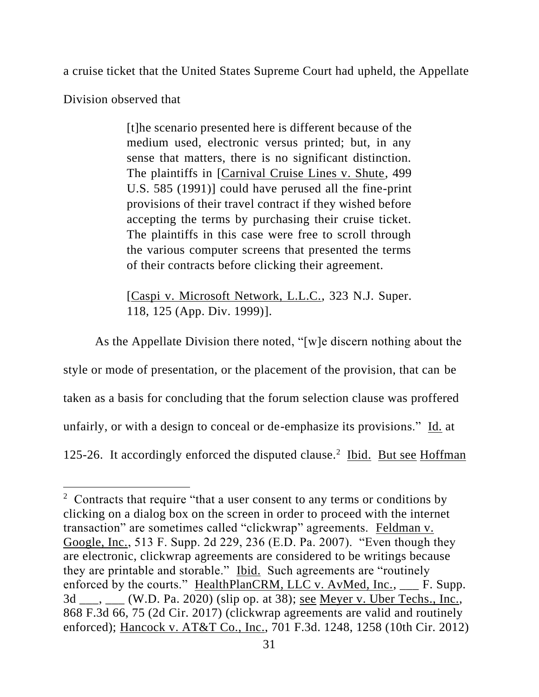a cruise ticket that the United States Supreme Court had upheld, the Appellate

Division observed that

[t]he scenario presented here is different because of the medium used, electronic versus printed; but, in any sense that matters, there is no significant distinction. The plaintiffs in [Carnival Cruise Lines v. Shute, 499 U.S. 585 (1991)] could have perused all the fine-print provisions of their travel contract if they wished before accepting the terms by purchasing their cruise ticket. The plaintiffs in this case were free to scroll through the various computer screens that presented the terms of their contracts before clicking their agreement.

[Caspi v. Microsoft Network, L.L.C., 323 N.J. Super. 118, 125 (App. Div. 1999)].

As the Appellate Division there noted, "[w]e discern nothing about the style or mode of presentation, or the placement of the provision, that can be taken as a basis for concluding that the forum selection clause was proffered unfairly, or with a design to conceal or de-emphasize its provisions." Id. at 125-26. It accordingly enforced the disputed clause.<sup>2</sup> Ibid. But see Hoffman

 $2$  Contracts that require "that a user consent to any terms or conditions by clicking on a dialog box on the screen in order to proceed with the internet transaction" are sometimes called "clickwrap" agreements. Feldman v. Google, Inc., 513 F. Supp. 2d 229, 236 (E.D. Pa. 2007). "Even though they are electronic, clickwrap agreements are considered to be writings because they are printable and storable." Ibid. Such agreements are "routinely enforced by the courts." HealthPlanCRM, LLC v. AvMed, Inc., \_\_\_ F. Supp. 3d \_\_\_, \_\_\_ (W.D. Pa. 2020) (slip op. at 38); see Meyer v. Uber Techs., Inc., 868 F.3d 66, 75 (2d Cir. 2017) (clickwrap agreements are valid and routinely enforced); Hancock v. AT&T Co., Inc., 701 F.3d. 1248, 1258 (10th Cir. 2012)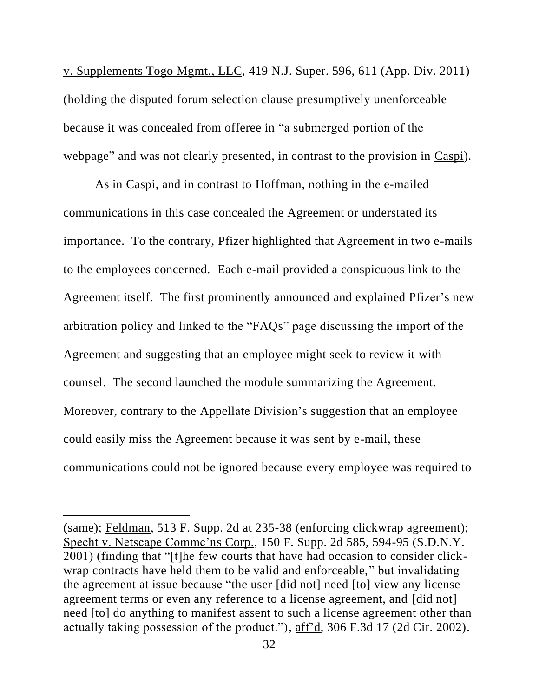v. Supplements Togo Mgmt., LLC, 419 N.J. Super. 596, 611 (App. Div. 2011) (holding the disputed forum selection clause presumptively unenforceable because it was concealed from offeree in "a submerged portion of the webpage" and was not clearly presented, in contrast to the provision in Caspi).

As in Caspi, and in contrast to Hoffman, nothing in the e-mailed communications in this case concealed the Agreement or understated its importance. To the contrary, Pfizer highlighted that Agreement in two e-mails to the employees concerned. Each e-mail provided a conspicuous link to the Agreement itself. The first prominently announced and explained Pfizer's new arbitration policy and linked to the "FAQs" page discussing the import of the Agreement and suggesting that an employee might seek to review it with counsel. The second launched the module summarizing the Agreement. Moreover, contrary to the Appellate Division's suggestion that an employee could easily miss the Agreement because it was sent by e-mail, these communications could not be ignored because every employee was required to

<sup>(</sup>same); Feldman, 513 F. Supp. 2d at 235-38 (enforcing clickwrap agreement); Specht v. Netscape Commc'ns Corp., 150 F. Supp. 2d 585, 594-95 (S.D.N.Y. 2001) (finding that "[t]he few courts that have had occasion to consider clickwrap contracts have held them to be valid and enforceable," but invalidating the agreement at issue because "the user [did not] need [to] view any license agreement terms or even any reference to a license agreement, and [did not] need [to] do anything to manifest assent to such a license agreement other than actually taking possession of the product."), aff'd, 306 F.3d 17 (2d Cir. 2002).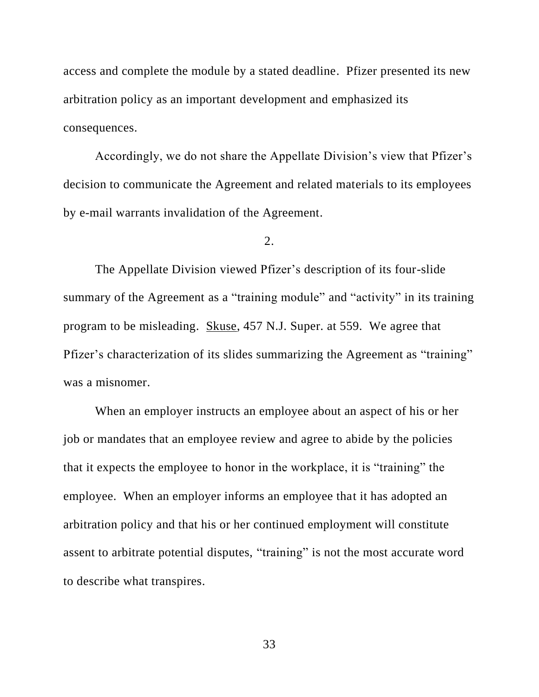access and complete the module by a stated deadline. Pfizer presented its new arbitration policy as an important development and emphasized its consequences.

Accordingly, we do not share the Appellate Division's view that Pfizer's decision to communicate the Agreement and related materials to its employees by e-mail warrants invalidation of the Agreement.

2.

The Appellate Division viewed Pfizer's description of its four-slide summary of the Agreement as a "training module" and "activity" in its training program to be misleading. Skuse, 457 N.J. Super. at 559. We agree that Pfizer's characterization of its slides summarizing the Agreement as "training" was a misnomer.

When an employer instructs an employee about an aspect of his or her job or mandates that an employee review and agree to abide by the policies that it expects the employee to honor in the workplace, it is "training" the employee. When an employer informs an employee that it has adopted an arbitration policy and that his or her continued employment will constitute assent to arbitrate potential disputes, "training" is not the most accurate word to describe what transpires.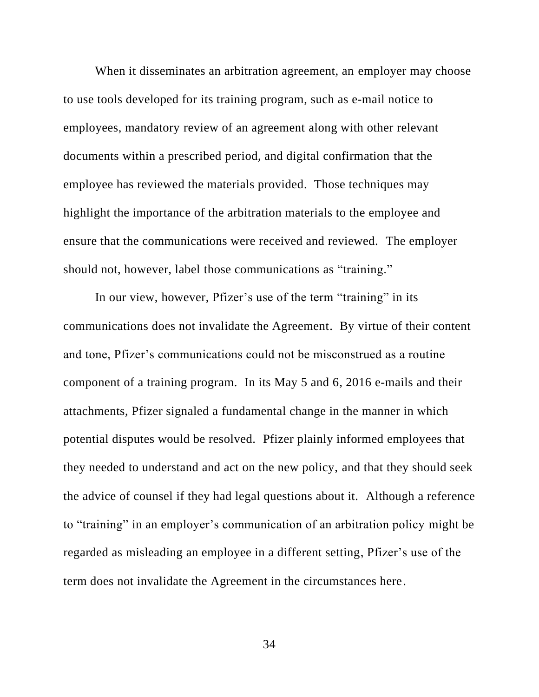When it disseminates an arbitration agreement, an employer may choose to use tools developed for its training program, such as e-mail notice to employees, mandatory review of an agreement along with other relevant documents within a prescribed period, and digital confirmation that the employee has reviewed the materials provided. Those techniques may highlight the importance of the arbitration materials to the employee and ensure that the communications were received and reviewed. The employer should not, however, label those communications as "training."

In our view, however, Pfizer's use of the term "training" in its communications does not invalidate the Agreement. By virtue of their content and tone, Pfizer's communications could not be misconstrued as a routine component of a training program. In its May 5 and 6, 2016 e-mails and their attachments, Pfizer signaled a fundamental change in the manner in which potential disputes would be resolved. Pfizer plainly informed employees that they needed to understand and act on the new policy, and that they should seek the advice of counsel if they had legal questions about it. Although a reference to "training" in an employer's communication of an arbitration policy might be regarded as misleading an employee in a different setting, Pfizer's use of the term does not invalidate the Agreement in the circumstances here.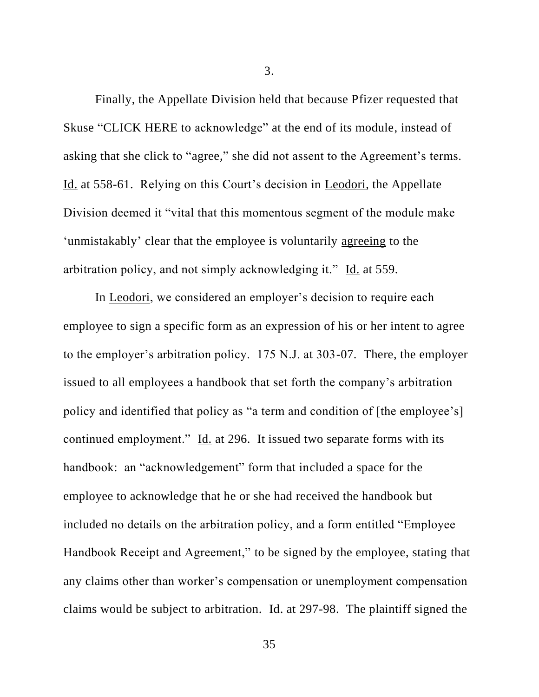Finally, the Appellate Division held that because Pfizer requested that Skuse "CLICK HERE to acknowledge" at the end of its module, instead of asking that she click to "agree," she did not assent to the Agreement's terms. Id. at 558-61. Relying on this Court's decision in Leodori, the Appellate Division deemed it "vital that this momentous segment of the module make 'unmistakably' clear that the employee is voluntarily agreeing to the arbitration policy, and not simply acknowledging it." Id. at 559.

In Leodori, we considered an employer's decision to require each employee to sign a specific form as an expression of his or her intent to agree to the employer's arbitration policy. 175 N.J. at 303-07. There, the employer issued to all employees a handbook that set forth the company's arbitration policy and identified that policy as "a term and condition of [the employee's] continued employment." Id. at 296. It issued two separate forms with its handbook: an "acknowledgement" form that included a space for the employee to acknowledge that he or she had received the handbook but included no details on the arbitration policy, and a form entitled "Employee Handbook Receipt and Agreement," to be signed by the employee, stating that any claims other than worker's compensation or unemployment compensation claims would be subject to arbitration. Id. at 297-98. The plaintiff signed the

3.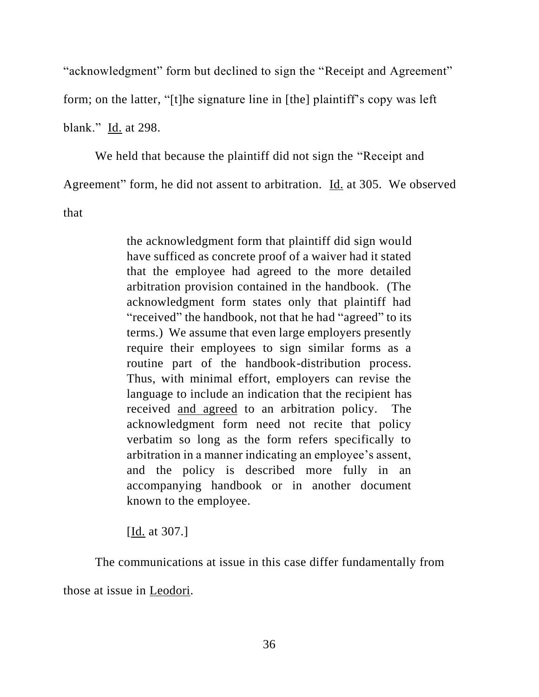"acknowledgment" form but declined to sign the "Receipt and Agreement"

form; on the latter, "[t]he signature line in [the] plaintiff's copy was left

blank." Id. at 298.

We held that because the plaintiff did not sign the "Receipt and Agreement" form, he did not assent to arbitration. Id. at 305. We observed that

> the acknowledgment form that plaintiff did sign would have sufficed as concrete proof of a waiver had it stated that the employee had agreed to the more detailed arbitration provision contained in the handbook. (The acknowledgment form states only that plaintiff had "received" the handbook, not that he had "agreed" to its terms.) We assume that even large employers presently require their employees to sign similar forms as a routine part of the handbook-distribution process. Thus, with minimal effort, employers can revise the language to include an indication that the recipient has received and agreed to an arbitration policy. The acknowledgment form need not recite that policy verbatim so long as the form refers specifically to arbitration in a manner indicating an employee's assent, and the policy is described more fully in an accompanying handbook or in another document known to the employee.

[Id. at 307.]

The communications at issue in this case differ fundamentally from those at issue in Leodori*.*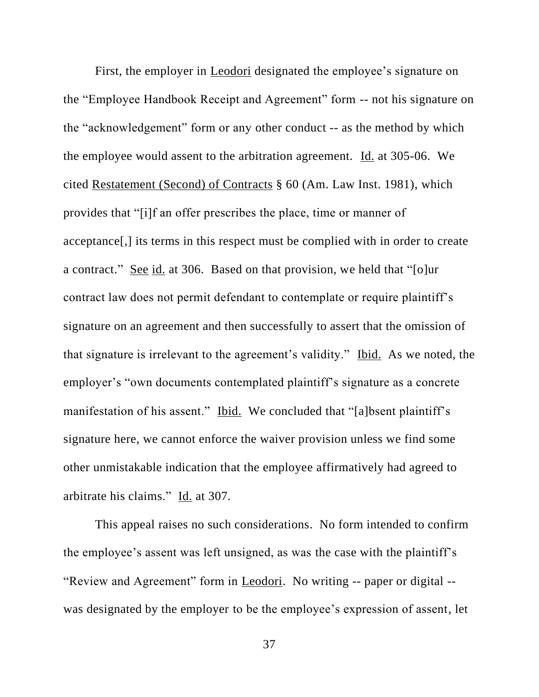First, the employer in Leodori designated the employee's signature on the "Employee Handbook Receipt and Agreement" form -- not his signature on the "acknowledgement" form or any other conduct -- as the method by which the employee would assent to the arbitration agreement. Id. at 305-06. We cited Restatement (Second) of Contracts § 60 (Am. Law Inst. 1981), which provides that "[i]f an offer prescribes the place, time or manner of acceptance[,] its terms in this respect must be complied with in order to create a contract." See id. at 306. Based on that provision, we held that "[o]ur contract law does not permit defendant to contemplate or require plaintiff's signature on an agreement and then successfully to assert that the omission of that signature is irrelevant to the agreement's validity." Ibid. As we noted, the employer's "own documents contemplated plaintiff's signature as a concrete manifestation of his assent." Ibid. We concluded that "[a]bsent plaintiff's signature here, we cannot enforce the waiver provision unless we find some other unmistakable indication that the employee affirmatively had agreed to arbitrate his claims." Id. at 307.

This appeal raises no such considerations. No form intended to confirm the employee's assent was left unsigned, as was the case with the plaintiff's "Review and Agreement" form in Leodori. No writing -- paper or digital - was designated by the employer to be the employee's expression of assent, let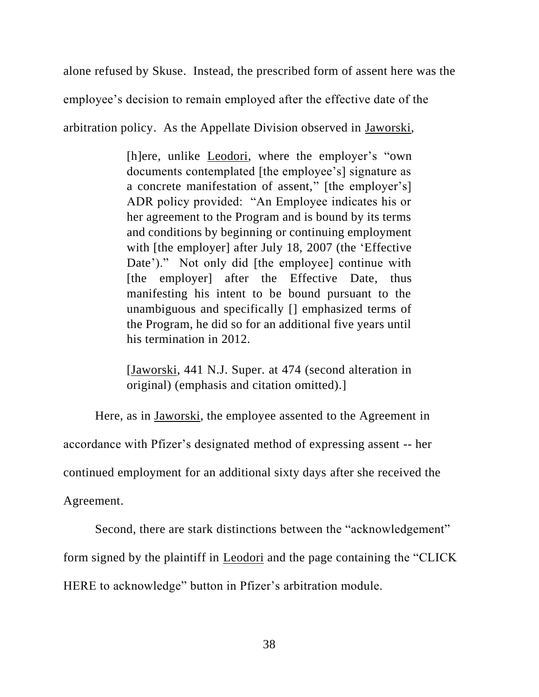alone refused by Skuse. Instead, the prescribed form of assent here was the employee's decision to remain employed after the effective date of the arbitration policy. As the Appellate Division observed in Jaworski,

> [h]ere, unlike Leodori, where the employer's "own documents contemplated [the employee's] signature as a concrete manifestation of assent," [the employer's] ADR policy provided: "An Employee indicates his or her agreement to the Program and is bound by its terms and conditions by beginning or continuing employment with [the employer] after July 18, 2007 (the 'Effective Date')." Not only did [the employee] continue with [the employer] after the Effective Date, thus manifesting his intent to be bound pursuant to the unambiguous and specifically [] emphasized terms of the Program, he did so for an additional five years until his termination in 2012.

> [Jaworski, 441 N.J. Super. at 474 (second alteration in original) (emphasis and citation omitted).]

Here, as in Jaworski, the employee assented to the Agreement in accordance with Pfizer's designated method of expressing assent -- her continued employment for an additional sixty days after she received the Agreement.

Second, there are stark distinctions between the "acknowledgement" form signed by the plaintiff in Leodori and the page containing the "CLICK HERE to acknowledge" button in Pfizer's arbitration module.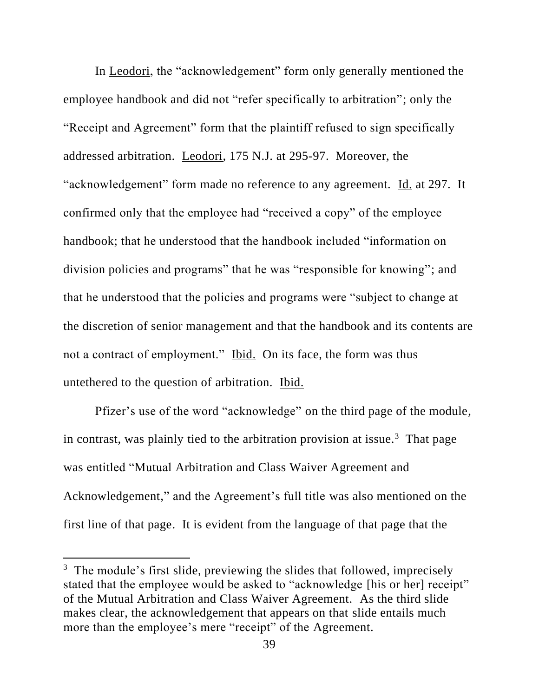In Leodori, the "acknowledgement" form only generally mentioned the employee handbook and did not "refer specifically to arbitration"; only the "Receipt and Agreement" form that the plaintiff refused to sign specifically addressed arbitration. Leodori, 175 N.J. at 295-97. Moreover, the "acknowledgement" form made no reference to any agreement. Id. at 297. It confirmed only that the employee had "received a copy" of the employee handbook; that he understood that the handbook included "information on division policies and programs" that he was "responsible for knowing"; and that he understood that the policies and programs were "subject to change at the discretion of senior management and that the handbook and its contents are not a contract of employment." Ibid. On its face, the form was thus untethered to the question of arbitration. Ibid.

Pfizer's use of the word "acknowledge" on the third page of the module, in contrast, was plainly tied to the arbitration provision at issue.<sup>3</sup> That page was entitled "Mutual Arbitration and Class Waiver Agreement and Acknowledgement," and the Agreement's full title was also mentioned on the first line of that page. It is evident from the language of that page that the

<sup>&</sup>lt;sup>3</sup> The module's first slide, previewing the slides that followed, imprecisely stated that the employee would be asked to "acknowledge [his or her] receipt" of the Mutual Arbitration and Class Waiver Agreement. As the third slide makes clear, the acknowledgement that appears on that slide entails much more than the employee's mere "receipt" of the Agreement.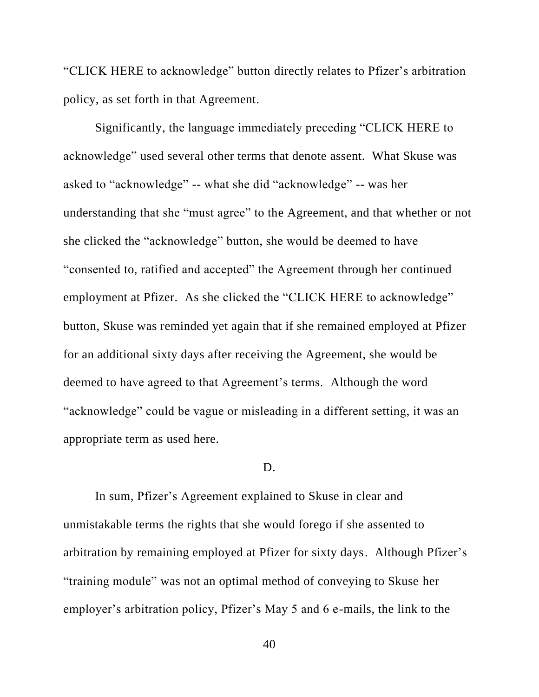"CLICK HERE to acknowledge" button directly relates to Pfizer's arbitration policy, as set forth in that Agreement.

Significantly, the language immediately preceding "CLICK HERE to acknowledge" used several other terms that denote assent. What Skuse was asked to "acknowledge" -- what she did "acknowledge" -- was her understanding that she "must agree" to the Agreement, and that whether or not she clicked the "acknowledge" button, she would be deemed to have "consented to, ratified and accepted" the Agreement through her continued employment at Pfizer. As she clicked the "CLICK HERE to acknowledge" button, Skuse was reminded yet again that if she remained employed at Pfizer for an additional sixty days after receiving the Agreement, she would be deemed to have agreed to that Agreement's terms. Although the word "acknowledge" could be vague or misleading in a different setting, it was an appropriate term as used here.

# D.

In sum, Pfizer's Agreement explained to Skuse in clear and unmistakable terms the rights that she would forego if she assented to arbitration by remaining employed at Pfizer for sixty days. Although Pfizer's "training module" was not an optimal method of conveying to Skuse her employer's arbitration policy, Pfizer's May 5 and 6 e-mails, the link to the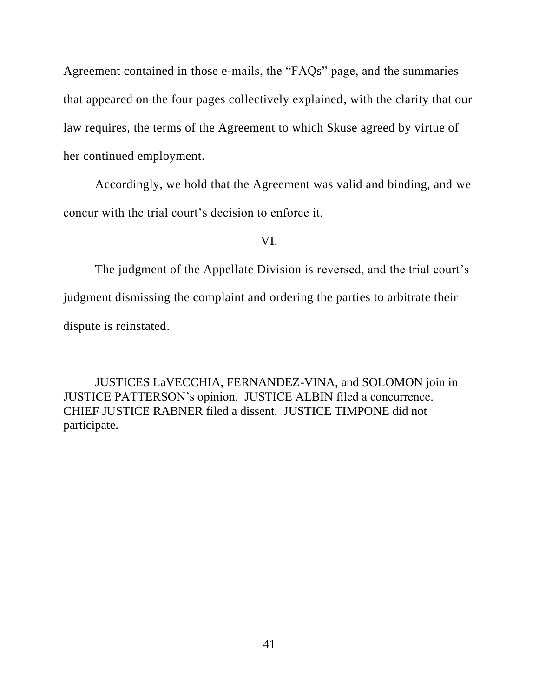Agreement contained in those e-mails, the "FAQs" page, and the summaries that appeared on the four pages collectively explained, with the clarity that our law requires, the terms of the Agreement to which Skuse agreed by virtue of her continued employment.

Accordingly, we hold that the Agreement was valid and binding, and we concur with the trial court's decision to enforce it.

VI.

The judgment of the Appellate Division is reversed, and the trial court's judgment dismissing the complaint and ordering the parties to arbitrate their dispute is reinstated.

JUSTICES LaVECCHIA, FERNANDEZ-VINA, and SOLOMON join in JUSTICE PATTERSON's opinion. JUSTICE ALBIN filed a concurrence. CHIEF JUSTICE RABNER filed a dissent. JUSTICE TIMPONE did not participate.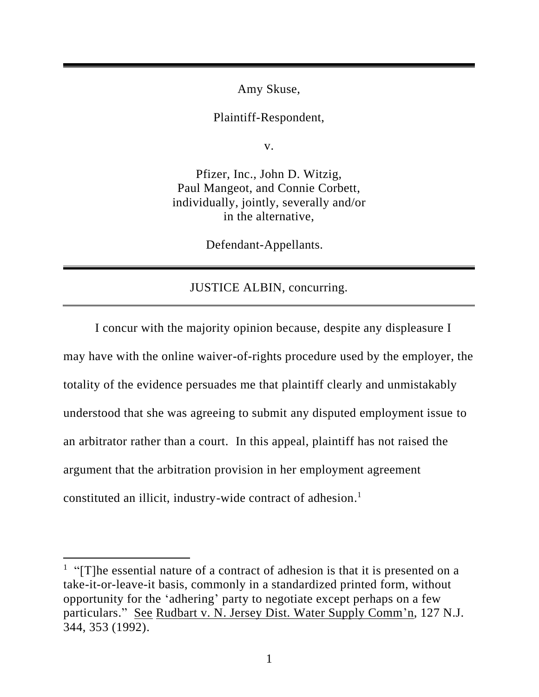Amy Skuse,

Plaintiff-Respondent,

v.

Pfizer, Inc., John D. Witzig, Paul Mangeot, and Connie Corbett, individually, jointly, severally and/or in the alternative,

Defendant-Appellants.

# JUSTICE ALBIN, concurring.

I concur with the majority opinion because, despite any displeasure I may have with the online waiver-of-rights procedure used by the employer, the totality of the evidence persuades me that plaintiff clearly and unmistakably understood that she was agreeing to submit any disputed employment issue to an arbitrator rather than a court. In this appeal, plaintiff has not raised the argument that the arbitration provision in her employment agreement constituted an illicit, industry-wide contract of adhesion. 1

<sup>&</sup>lt;sup>1</sup> "[T]he essential nature of a contract of adhesion is that it is presented on a take-it-or-leave-it basis, commonly in a standardized printed form, without opportunity for the 'adhering' party to negotiate except perhaps on a few particulars." See Rudbart v. N. Jersey Dist. Water Supply Comm'n, 127 N.J. 344, 353 (1992).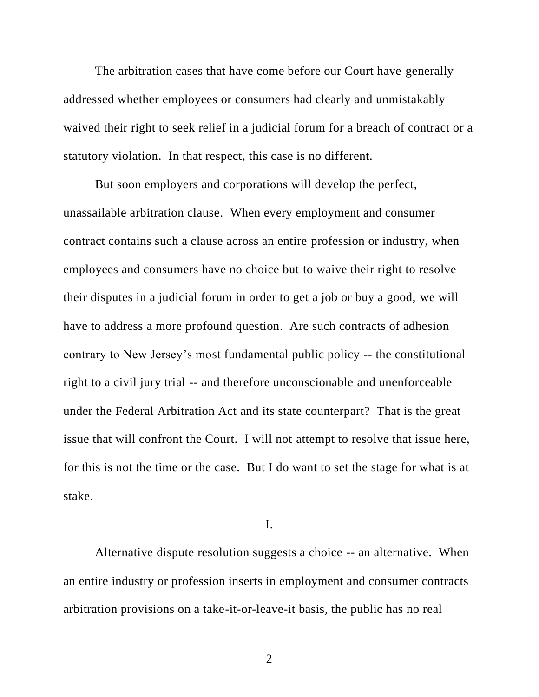The arbitration cases that have come before our Court have generally addressed whether employees or consumers had clearly and unmistakably waived their right to seek relief in a judicial forum for a breach of contract or a statutory violation. In that respect, this case is no different.

But soon employers and corporations will develop the perfect, unassailable arbitration clause. When every employment and consumer contract contains such a clause across an entire profession or industry, when employees and consumers have no choice but to waive their right to resolve their disputes in a judicial forum in order to get a job or buy a good, we will have to address a more profound question. Are such contracts of adhesion contrary to New Jersey's most fundamental public policy -- the constitutional right to a civil jury trial -- and therefore unconscionable and unenforceable under the Federal Arbitration Act and its state counterpart? That is the great issue that will confront the Court. I will not attempt to resolve that issue here, for this is not the time or the case. But I do want to set the stage for what is at stake.

I.

Alternative dispute resolution suggests a choice -- an alternative. When an entire industry or profession inserts in employment and consumer contracts arbitration provisions on a take-it-or-leave-it basis, the public has no real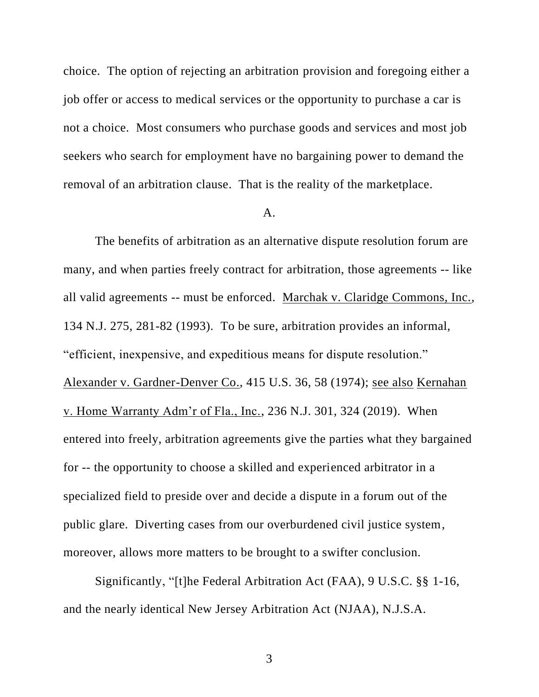choice. The option of rejecting an arbitration provision and foregoing either a job offer or access to medical services or the opportunity to purchase a car is not a choice. Most consumers who purchase goods and services and most job seekers who search for employment have no bargaining power to demand the removal of an arbitration clause. That is the reality of the marketplace.

### A.

The benefits of arbitration as an alternative dispute resolution forum are many, and when parties freely contract for arbitration, those agreements -- like all valid agreements -- must be enforced. Marchak v. Claridge Commons, Inc., 134 N.J. 275, 281-82 (1993). To be sure, arbitration provides an informal, "efficient, inexpensive, and expeditious means for dispute resolution." Alexander v. Gardner-Denver Co., 415 U.S. 36, 58 (1974); see also Kernahan v. Home Warranty Adm'r of Fla., Inc., 236 N.J. 301, 324 (2019). When entered into freely, arbitration agreements give the parties what they bargained for -- the opportunity to choose a skilled and experienced arbitrator in a specialized field to preside over and decide a dispute in a forum out of the public glare. Diverting cases from our overburdened civil justice system, moreover, allows more matters to be brought to a swifter conclusion.

Significantly, "[t]he Federal Arbitration Act (FAA), 9 U.S.C. §§ 1-16, and the nearly identical New Jersey Arbitration Act (NJAA), N.J.S.A.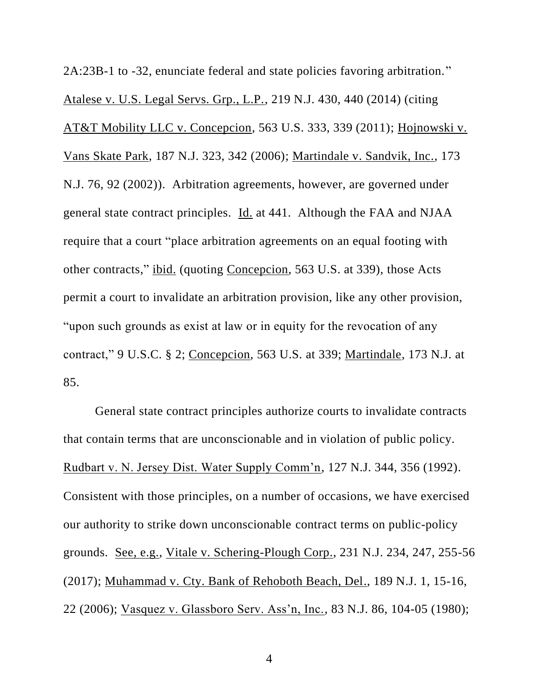2A:23B-1 to -32, enunciate federal and state policies favoring arbitration." Atalese v. U.S. Legal Servs. Grp., L.P., 219 N.J. 430, 440 (2014) (citing AT&T Mobility LLC v. Concepcion, 563 U.S. 333, 339 (2011); Hojnowski v. Vans Skate Park, 187 N.J. 323, 342 (2006); Martindale v. Sandvik, Inc., 173 N.J. 76, 92 (2002)). Arbitration agreements, however, are governed under general state contract principles. Id. at 441. Although the FAA and NJAA require that a court "place arbitration agreements on an equal footing with other contracts," ibid. (quoting Concepcion, 563 U.S. at 339), those Acts permit a court to invalidate an arbitration provision, like any other provision, "upon such grounds as exist at law or in equity for the revocation of any contract," 9 U.S.C. § 2; Concepcion, 563 U.S. at 339; Martindale, 173 N.J. at 85.

General state contract principles authorize courts to invalidate contracts that contain terms that are unconscionable and in violation of public policy. Rudbart v. N. Jersey Dist. Water Supply Comm'n, 127 N.J. 344, 356 (1992). Consistent with those principles, on a number of occasions, we have exercised our authority to strike down unconscionable contract terms on public-policy grounds. See, e.g., Vitale v. Schering-Plough Corp., 231 N.J. 234, 247, 255-56 (2017); Muhammad v. Cty. Bank of Rehoboth Beach, Del., 189 N.J. 1, 15-16, 22 (2006); Vasquez v. Glassboro Serv. Ass'n, Inc., 83 N.J. 86, 104-05 (1980);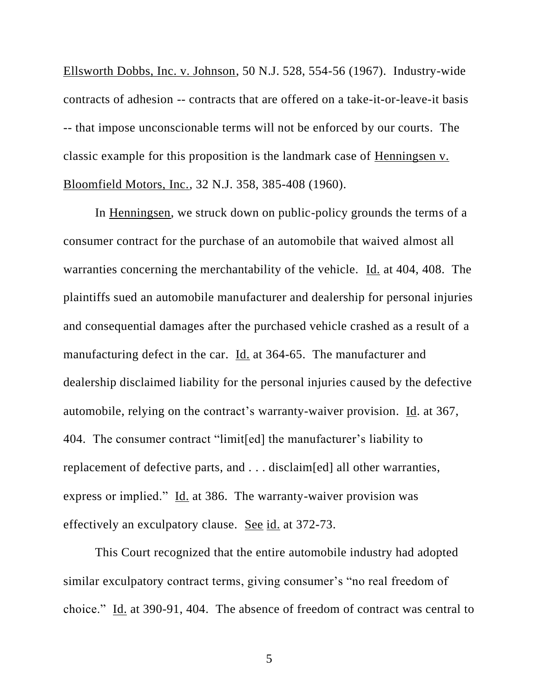Ellsworth Dobbs, Inc. v. Johnson, 50 N.J. 528, 554-56 (1967). Industry-wide contracts of adhesion -- contracts that are offered on a take-it-or-leave-it basis -- that impose unconscionable terms will not be enforced by our courts. The classic example for this proposition is the landmark case of Henningsen v. Bloomfield Motors, Inc., 32 N.J. 358, 385-408 (1960).

In Henningsen, we struck down on public-policy grounds the terms of a consumer contract for the purchase of an automobile that waived almost all warranties concerning the merchantability of the vehicle. Id. at 404, 408. The plaintiffs sued an automobile manufacturer and dealership for personal injuries and consequential damages after the purchased vehicle crashed as a result of a manufacturing defect in the car. Id. at 364-65. The manufacturer and dealership disclaimed liability for the personal injuries caused by the defective automobile, relying on the contract's warranty-waiver provision. Id. at 367, 404. The consumer contract "limit[ed] the manufacturer's liability to replacement of defective parts, and . . . disclaim[ed] all other warranties, express or implied." Id. at 386. The warranty-waiver provision was effectively an exculpatory clause. See id. at 372-73.

This Court recognized that the entire automobile industry had adopted similar exculpatory contract terms, giving consumer's "no real freedom of choice." Id. at 390-91, 404. The absence of freedom of contract was central to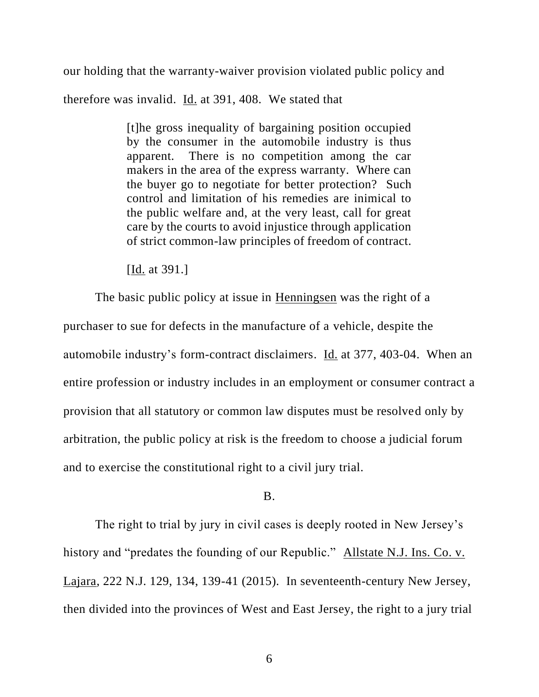our holding that the warranty-waiver provision violated public policy and

therefore was invalid. Id. at 391, 408. We stated that

[t]he gross inequality of bargaining position occupied by the consumer in the automobile industry is thus apparent. There is no competition among the car makers in the area of the express warranty. Where can the buyer go to negotiate for better protection? Such control and limitation of his remedies are inimical to the public welfare and, at the very least, call for great care by the courts to avoid injustice through application of strict common-law principles of freedom of contract.

[Id. at 391.]

The basic public policy at issue in Henningsen was the right of a purchaser to sue for defects in the manufacture of a vehicle, despite the automobile industry's form-contract disclaimers. Id. at 377, 403-04. When an entire profession or industry includes in an employment or consumer contract a provision that all statutory or common law disputes must be resolved only by arbitration, the public policy at risk is the freedom to choose a judicial forum and to exercise the constitutional right to a civil jury trial.

# B.

The right to trial by jury in civil cases is deeply rooted in New Jersey's history and "predates the founding of our Republic." Allstate N.J. Ins. Co. v. Lajara, 222 N.J. 129, 134, 139-41 (2015). In seventeenth-century New Jersey, then divided into the provinces of West and East Jersey, the right to a jury trial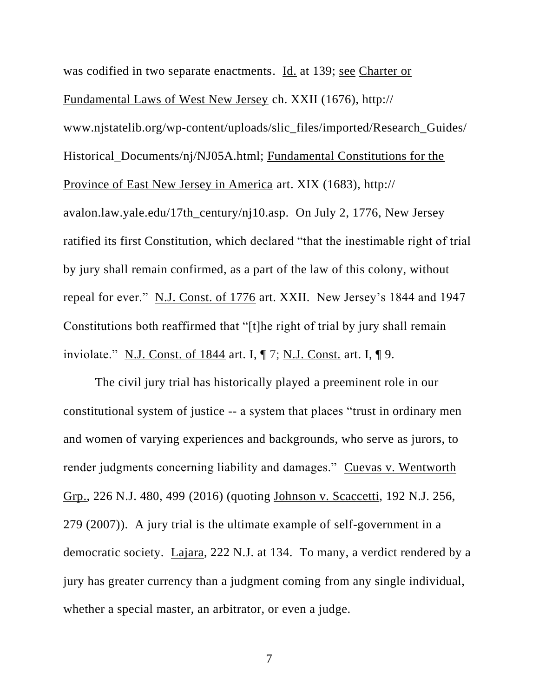was codified in two separate enactments. Id. at 139; see Charter or Fundamental Laws of West New Jersey ch. XXII (1676), http:// www.njstatelib.org/wp-content/uploads/slic\_files/imported/Research\_Guides/

Historical\_Documents/nj/NJ05A.html; Fundamental Constitutions for the Province of East New Jersey in America art. XIX (1683), http://

avalon.law.yale.edu/17th\_century/nj10.asp. On July 2, 1776, New Jersey ratified its first Constitution, which declared "that the inestimable right of trial by jury shall remain confirmed, as a part of the law of this colony, without repeal for ever." N.J. Const. of 1776 art. XXII. New Jersey's 1844 and 1947 Constitutions both reaffirmed that "[t]he right of trial by jury shall remain inviolate." N.J. Const. of 1844 art. I,  $\P$  7; N.J. Const. art. I,  $\P$  9.

The civil jury trial has historically played a preeminent role in our constitutional system of justice -- a system that places "trust in ordinary men and women of varying experiences and backgrounds, who serve as jurors, to render judgments concerning liability and damages." Cuevas v. Wentworth Grp., 226 N.J. 480, 499 (2016) (quoting Johnson v. Scaccetti, 192 N.J. 256, 279 (2007)). A jury trial is the ultimate example of self-government in a democratic society. Lajara, 222 N.J. at 134. To many, a verdict rendered by a jury has greater currency than a judgment coming from any single individual, whether a special master, an arbitrator, or even a judge.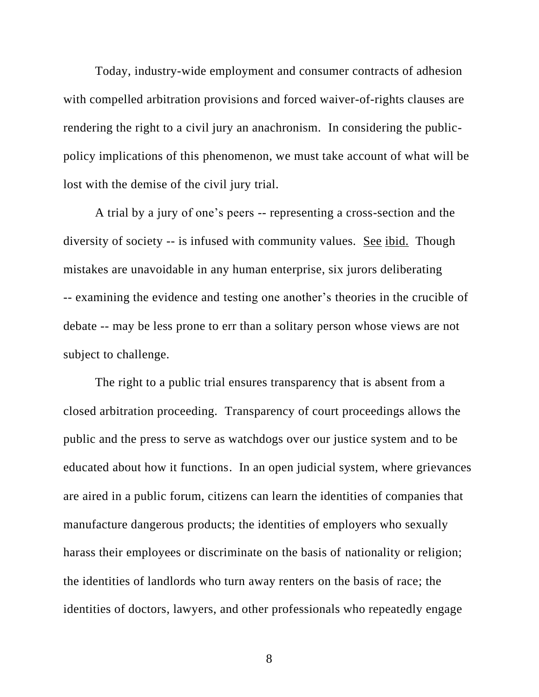Today, industry-wide employment and consumer contracts of adhesion with compelled arbitration provisions and forced waiver-of-rights clauses are rendering the right to a civil jury an anachronism. In considering the publicpolicy implications of this phenomenon, we must take account of what will be lost with the demise of the civil jury trial.

A trial by a jury of one's peers -- representing a cross-section and the diversity of society -- is infused with community values. See ibid. Though mistakes are unavoidable in any human enterprise, six jurors deliberating -- examining the evidence and testing one another's theories in the crucible of debate -- may be less prone to err than a solitary person whose views are not subject to challenge.

The right to a public trial ensures transparency that is absent from a closed arbitration proceeding. Transparency of court proceedings allows the public and the press to serve as watchdogs over our justice system and to be educated about how it functions. In an open judicial system, where grievances are aired in a public forum, citizens can learn the identities of companies that manufacture dangerous products; the identities of employers who sexually harass their employees or discriminate on the basis of nationality or religion; the identities of landlords who turn away renters on the basis of race; the identities of doctors, lawyers, and other professionals who repeatedly engage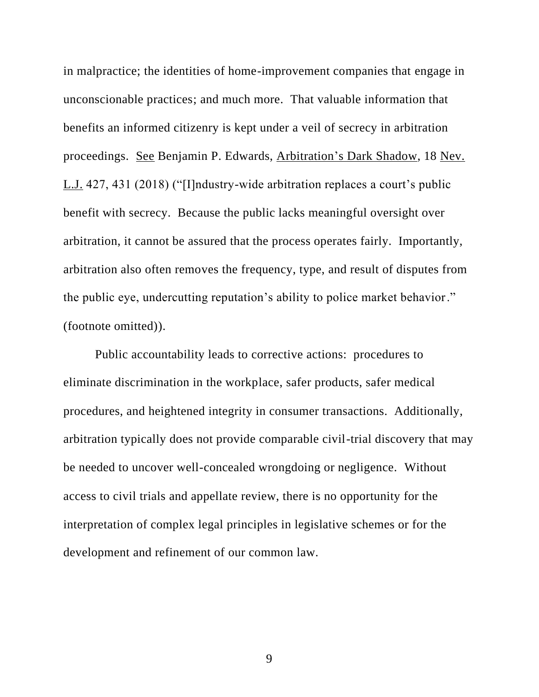in malpractice; the identities of home-improvement companies that engage in unconscionable practices; and much more. That valuable information that benefits an informed citizenry is kept under a veil of secrecy in arbitration proceedings. See Benjamin P. Edwards, Arbitration's Dark Shadow, 18 Nev. L.J. 427, 431 (2018) ("[I]ndustry-wide arbitration replaces a court's public benefit with secrecy. Because the public lacks meaningful oversight over arbitration, it cannot be assured that the process operates fairly. Importantly, arbitration also often removes the frequency, type, and result of disputes from the public eye, undercutting reputation's ability to police market behavior." (footnote omitted)).

Public accountability leads to corrective actions: procedures to eliminate discrimination in the workplace, safer products, safer medical procedures, and heightened integrity in consumer transactions. Additionally, arbitration typically does not provide comparable civil-trial discovery that may be needed to uncover well-concealed wrongdoing or negligence. Without access to civil trials and appellate review, there is no opportunity for the interpretation of complex legal principles in legislative schemes or for the development and refinement of our common law.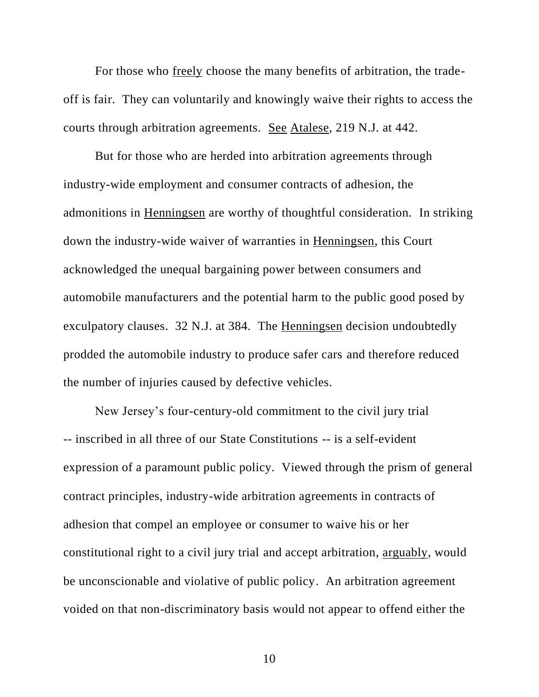For those who freely choose the many benefits of arbitration, the tradeoff is fair. They can voluntarily and knowingly waive their rights to access the courts through arbitration agreements. See Atalese, 219 N.J. at 442.

But for those who are herded into arbitration agreements through industry-wide employment and consumer contracts of adhesion, the admonitions in Henningsen are worthy of thoughtful consideration. In striking down the industry-wide waiver of warranties in Henningsen, this Court acknowledged the unequal bargaining power between consumers and automobile manufacturers and the potential harm to the public good posed by exculpatory clauses. 32 N.J. at 384. The Henningsen decision undoubtedly prodded the automobile industry to produce safer cars and therefore reduced the number of injuries caused by defective vehicles.

New Jersey's four-century-old commitment to the civil jury trial -- inscribed in all three of our State Constitutions -- is a self-evident expression of a paramount public policy. Viewed through the prism of general contract principles, industry-wide arbitration agreements in contracts of adhesion that compel an employee or consumer to waive his or her constitutional right to a civil jury trial and accept arbitration, arguably, would be unconscionable and violative of public policy. An arbitration agreement voided on that non-discriminatory basis would not appear to offend either the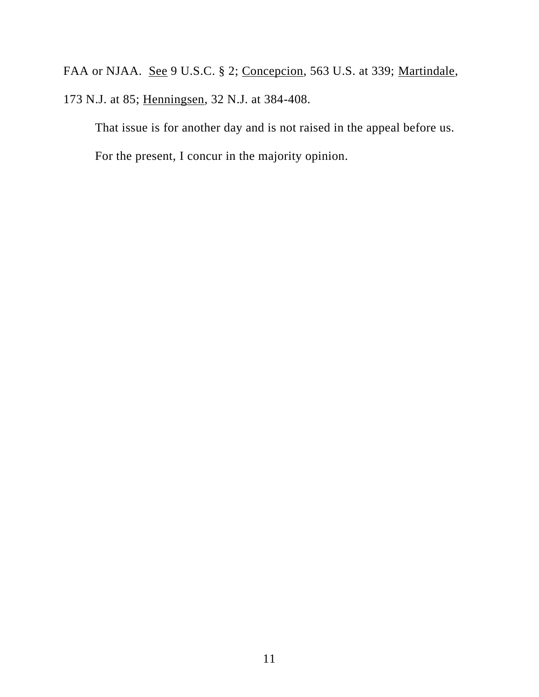FAA or NJAA. <u>See</u> 9 U.S.C. § 2; Concepcion, 563 U.S. at 339; Martindale, 173 N.J. at 85; Henningsen, 32 N.J. at 384-408.

That issue is for another day and is not raised in the appeal before us. For the present, I concur in the majority opinion.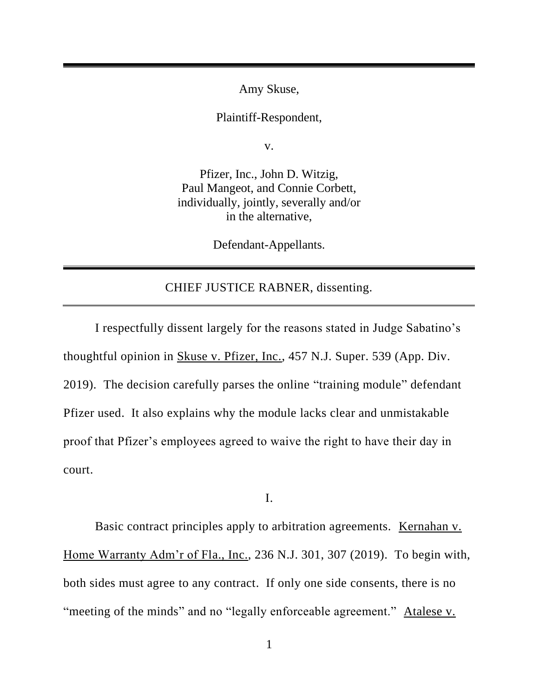Amy Skuse,

Plaintiff-Respondent,

v.

Pfizer, Inc., John D. Witzig, Paul Mangeot, and Connie Corbett, individually, jointly, severally and/or in the alternative,

Defendant-Appellants.

# CHIEF JUSTICE RABNER, dissenting.

I respectfully dissent largely for the reasons stated in Judge Sabatino's thoughtful opinion in Skuse v. Pfizer, Inc., 457 N.J. Super. 539 (App. Div. 2019). The decision carefully parses the online "training module" defendant Pfizer used. It also explains why the module lacks clear and unmistakable proof that Pfizer's employees agreed to waive the right to have their day in court.

I.

Basic contract principles apply to arbitration agreements. Kernahan v. Home Warranty Adm'r of Fla., Inc., 236 N.J. 301, 307 (2019). To begin with, both sides must agree to any contract. If only one side consents, there is no "meeting of the minds" and no "legally enforceable agreement." Atalese v.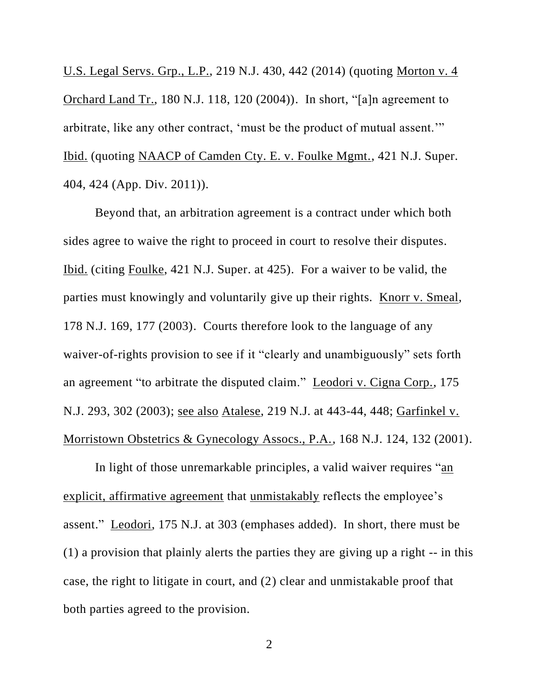U.S. Legal Servs. Grp., L.P., 219 N.J. 430, 442 (2014) (quoting Morton v. 4 Orchard Land Tr., 180 N.J. 118, 120 (2004)). In short, "[a]n agreement to arbitrate, like any other contract, 'must be the product of mutual assent.'" Ibid. (quoting NAACP of Camden Cty. E. v. Foulke Mgmt., 421 N.J. Super. 404, 424 (App. Div. 2011)).

Beyond that, an arbitration agreement is a contract under which both sides agree to waive the right to proceed in court to resolve their disputes. Ibid. (citing Foulke, 421 N.J. Super. at 425). For a waiver to be valid, the parties must knowingly and voluntarily give up their rights. Knorr v. Smeal, 178 N.J. 169, 177 (2003). Courts therefore look to the language of any waiver-of-rights provision to see if it "clearly and unambiguously" sets forth an agreement "to arbitrate the disputed claim." Leodori v. Cigna Corp., 175 N.J. 293, 302 (2003); see also Atalese, 219 N.J. at 443-44, 448; Garfinkel v. Morristown Obstetrics & Gynecology Assocs., P.A., 168 N.J. 124, 132 (2001).

In light of those unremarkable principles, a valid waiver requires "an explicit, affirmative agreement that unmistakably reflects the employee's assent." Leodori, 175 N.J. at 303 (emphases added). In short, there must be (1) a provision that plainly alerts the parties they are giving up a right -- in this case, the right to litigate in court, and (2) clear and unmistakable proof that both parties agreed to the provision.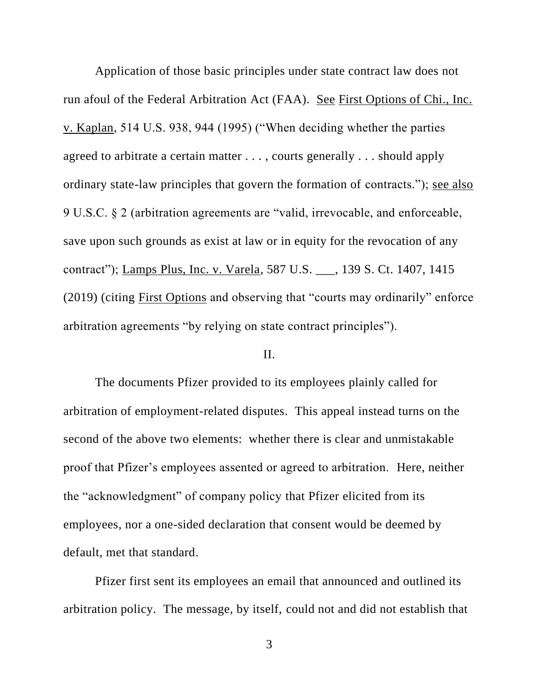Application of those basic principles under state contract law does not run afoul of the Federal Arbitration Act (FAA). See First Options of Chi., Inc. v. Kaplan, 514 U.S. 938, 944 (1995) ("When deciding whether the parties agreed to arbitrate a certain matter . . . , courts generally . . . should apply ordinary state-law principles that govern the formation of contracts."); see also 9 U.S.C. § 2 (arbitration agreements are "valid, irrevocable, and enforceable, save upon such grounds as exist at law or in equity for the revocation of any contract"); Lamps Plus, Inc. v. Varela, 587 U.S. \_\_\_, 139 S. Ct. 1407, 1415 (2019) (citing First Options and observing that "courts may ordinarily" enforce arbitration agreements "by relying on state contract principles").

# II.

The documents Pfizer provided to its employees plainly called for arbitration of employment-related disputes. This appeal instead turns on the second of the above two elements: whether there is clear and unmistakable proof that Pfizer's employees assented or agreed to arbitration. Here, neither the "acknowledgment" of company policy that Pfizer elicited from its employees, nor a one-sided declaration that consent would be deemed by default, met that standard.

Pfizer first sent its employees an email that announced and outlined its arbitration policy. The message, by itself, could not and did not establish that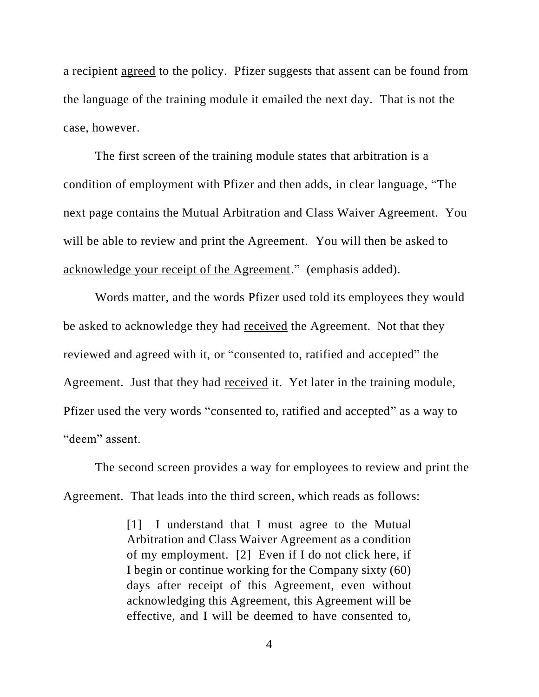a recipient agreed to the policy. Pfizer suggests that assent can be found from the language of the training module it emailed the next day. That is not the case, however.

The first screen of the training module states that arbitration is a condition of employment with Pfizer and then adds, in clear language, "The next page contains the Mutual Arbitration and Class Waiver Agreement. You will be able to review and print the Agreement. You will then be asked to acknowledge your receipt of the Agreement." (emphasis added).

Words matter, and the words Pfizer used told its employees they would be asked to acknowledge they had received the Agreement. Not that they reviewed and agreed with it, or "consented to, ratified and accepted" the Agreement. Just that they had received it. Yet later in the training module, Pfizer used the very words "consented to, ratified and accepted" as a way to "deem" assent.

The second screen provides a way for employees to review and print the Agreement. That leads into the third screen, which reads as follows:

> [1] I understand that I must agree to the Mutual Arbitration and Class Waiver Agreement as a condition of my employment. [2] Even if I do not click here, if I begin or continue working for the Company sixty (60) days after receipt of this Agreement, even without acknowledging this Agreement, this Agreement will be effective, and I will be deemed to have consented to,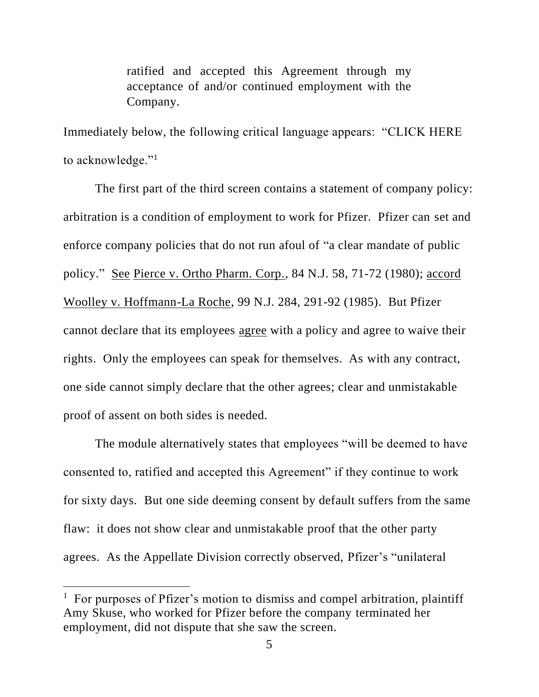ratified and accepted this Agreement through my acceptance of and/or continued employment with the Company.

Immediately below, the following critical language appears: "CLICK HERE to acknowledge."<sup>1</sup>

The first part of the third screen contains a statement of company policy: arbitration is a condition of employment to work for Pfizer. Pfizer can set and enforce company policies that do not run afoul of "a clear mandate of public policy." See Pierce v. Ortho Pharm. Corp., 84 N.J. 58, 71-72 (1980); accord Woolley v. Hoffmann-La Roche, 99 N.J. 284, 291-92 (1985). But Pfizer cannot declare that its employees agree with a policy and agree to waive their rights. Only the employees can speak for themselves. As with any contract, one side cannot simply declare that the other agrees; clear and unmistakable proof of assent on both sides is needed.

The module alternatively states that employees "will be deemed to have consented to, ratified and accepted this Agreement" if they continue to work for sixty days. But one side deeming consent by default suffers from the same flaw: it does not show clear and unmistakable proof that the other party agrees. As the Appellate Division correctly observed, Pfizer's "unilateral

<sup>&</sup>lt;sup>1</sup> For purposes of Pfizer's motion to dismiss and compel arbitration, plaintiff Amy Skuse, who worked for Pfizer before the company terminated her employment, did not dispute that she saw the screen.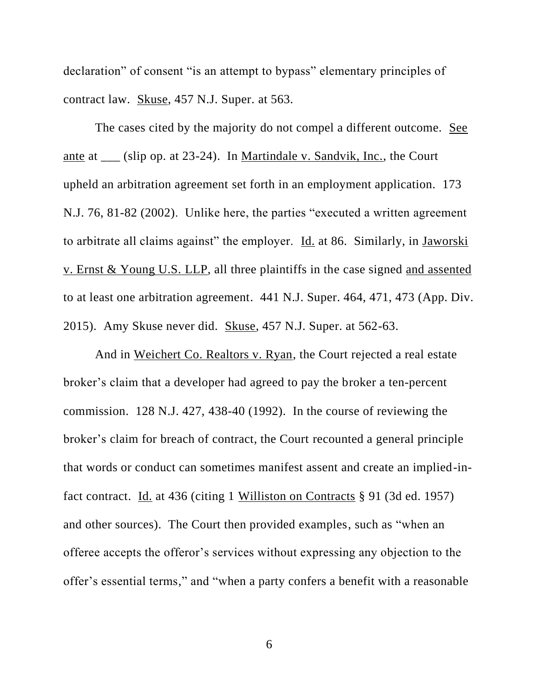declaration" of consent "is an attempt to bypass" elementary principles of contract law. Skuse, 457 N.J. Super. at 563.

The cases cited by the majority do not compel a different outcome. See ante at (slip op. at 23-24). In Martindale v. Sandvik, Inc., the Court upheld an arbitration agreement set forth in an employment application. 173 N.J. 76, 81-82 (2002). Unlike here, the parties "executed a written agreement to arbitrate all claims against" the employer. Id. at 86. Similarly, in Jaworski v. Ernst & Young U.S. LLP, all three plaintiffs in the case signed and assented to at least one arbitration agreement. 441 N.J. Super. 464, 471, 473 (App. Div. 2015). Amy Skuse never did. Skuse, 457 N.J. Super. at 562-63.

And in Weichert Co. Realtors v. Ryan, the Court rejected a real estate broker's claim that a developer had agreed to pay the broker a ten-percent commission. 128 N.J. 427, 438-40 (1992). In the course of reviewing the broker's claim for breach of contract, the Court recounted a general principle that words or conduct can sometimes manifest assent and create an implied-infact contract. Id. at 436 (citing 1 Williston on Contracts § 91 (3d ed. 1957) and other sources). The Court then provided examples, such as "when an offeree accepts the offeror's services without expressing any objection to the offer's essential terms," and "when a party confers a benefit with a reasonable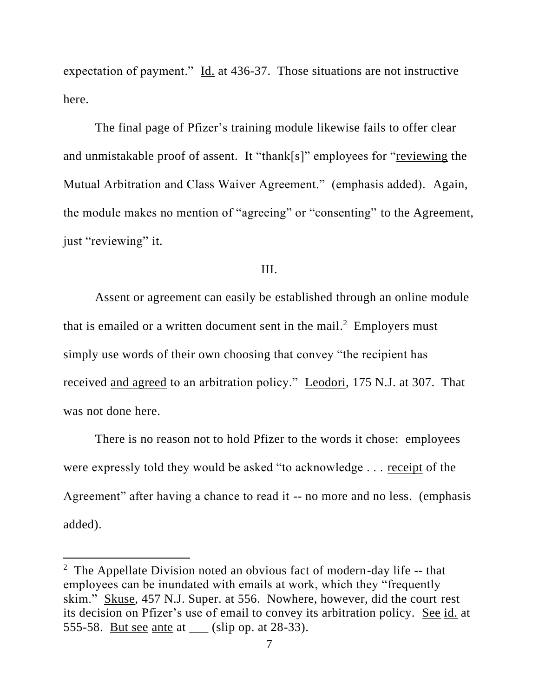expectation of payment." Id. at 436-37. Those situations are not instructive here.

The final page of Pfizer's training module likewise fails to offer clear and unmistakable proof of assent. It "thank[s]" employees for "reviewing the Mutual Arbitration and Class Waiver Agreement." (emphasis added). Again, the module makes no mention of "agreeing" or "consenting" to the Agreement, just "reviewing" it.

# III.

Assent or agreement can easily be established through an online module that is emailed or a written document sent in the mail.<sup>2</sup> Employers must simply use words of their own choosing that convey "the recipient has received and agreed to an arbitration policy." Leodori, 175 N.J. at 307. That was not done here.

There is no reason not to hold Pfizer to the words it chose: employees were expressly told they would be asked "to acknowledge . . . receipt of the Agreement" after having a chance to read it -- no more and no less. (emphasis added).

<sup>&</sup>lt;sup>2</sup> The Appellate Division noted an obvious fact of modern-day life -- that employees can be inundated with emails at work, which they "frequently skim." Skuse, 457 N.J. Super. at 556. Nowhere, however, did the court rest its decision on Pfizer's use of email to convey its arbitration policy. See id. at 555-58. But see ante at \_\_\_ (slip op. at 28-33).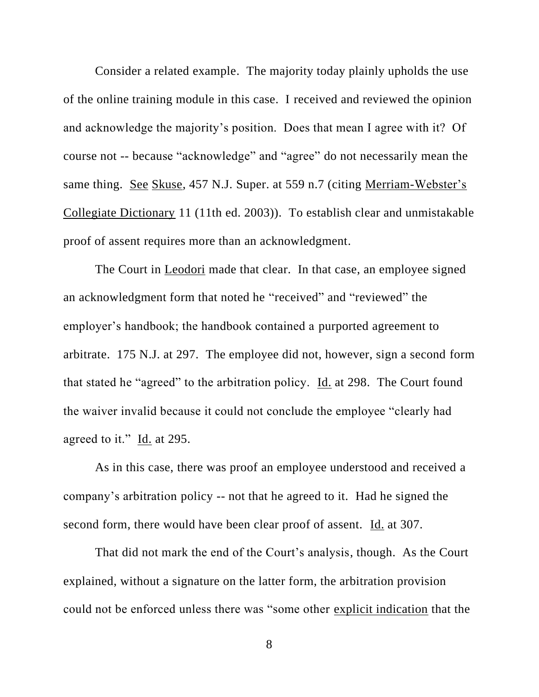Consider a related example. The majority today plainly upholds the use of the online training module in this case. I received and reviewed the opinion and acknowledge the majority's position. Does that mean I agree with it? Of course not -- because "acknowledge" and "agree" do not necessarily mean the same thing. See Skuse, 457 N.J. Super. at 559 n.7 (citing Merriam-Webster's Collegiate Dictionary 11 (11th ed. 2003)). To establish clear and unmistakable proof of assent requires more than an acknowledgment.

The Court in Leodori made that clear. In that case, an employee signed an acknowledgment form that noted he "received" and "reviewed" the employer's handbook; the handbook contained a purported agreement to arbitrate. 175 N.J. at 297. The employee did not, however, sign a second form that stated he "agreed" to the arbitration policy. Id. at 298. The Court found the waiver invalid because it could not conclude the employee "clearly had agreed to it." Id. at 295.

As in this case, there was proof an employee understood and received a company's arbitration policy -- not that he agreed to it. Had he signed the second form, there would have been clear proof of assent. Id. at 307.

That did not mark the end of the Court's analysis, though. As the Court explained, without a signature on the latter form, the arbitration provision could not be enforced unless there was "some other explicit indication that the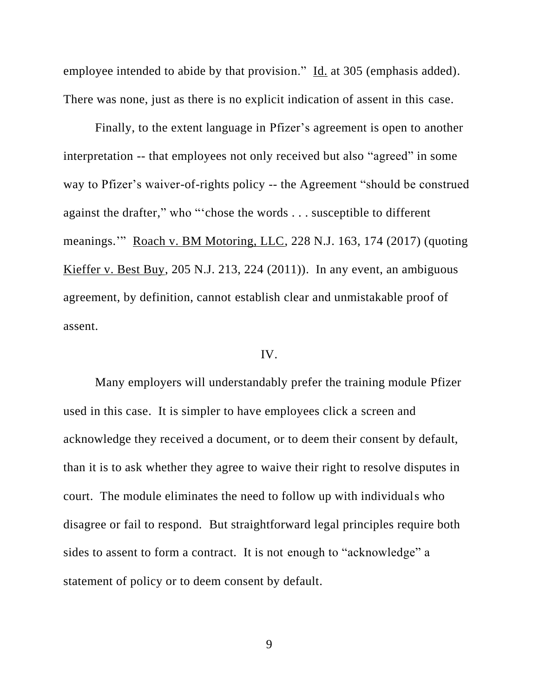employee intended to abide by that provision." Id. at 305 (emphasis added). There was none, just as there is no explicit indication of assent in this case.

Finally, to the extent language in Pfizer's agreement is open to another interpretation -- that employees not only received but also "agreed" in some way to Pfizer's waiver-of-rights policy -- the Agreement "should be construed against the drafter," who "'chose the words . . . susceptible to different meanings.'" Roach v. BM Motoring, LLC, 228 N.J. 163, 174 (2017) (quoting Kieffer v. Best Buy, 205 N.J. 213, 224 (2011)). In any event, an ambiguous agreement, by definition, cannot establish clear and unmistakable proof of assent.

# IV.

Many employers will understandably prefer the training module Pfizer used in this case. It is simpler to have employees click a screen and acknowledge they received a document, or to deem their consent by default, than it is to ask whether they agree to waive their right to resolve disputes in court. The module eliminates the need to follow up with individuals who disagree or fail to respond. But straightforward legal principles require both sides to assent to form a contract. It is not enough to "acknowledge" a statement of policy or to deem consent by default.